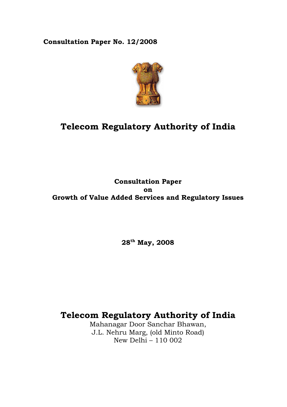## **Consultation Paper No. 12/2008**



# **Telecom Regulatory Authority of India**

## **Consultation Paper on Growth of Value Added Services and Regulatory Issues**

**28th May, 2008** 

# **Telecom Regulatory Authority of India**

Mahanagar Door Sanchar Bhawan, J.L. Nehru Marg, (old Minto Road) New Delhi – 110 002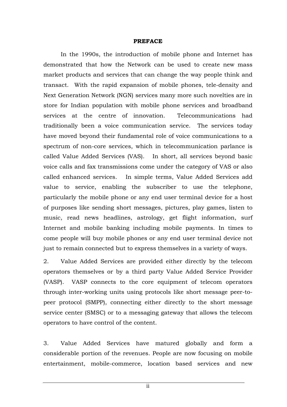#### **PREFACE**

In the 1990s, the introduction of mobile phone and Internet has demonstrated that how the Network can be used to create new mass market products and services that can change the way people think and transact. With the rapid expansion of mobile phones, tele-density and Next Generation Network (NGN) services many more such novelties are in store for Indian population with mobile phone services and broadband services at the centre of innovation. Telecommunications had traditionally been a voice communication service. The services today have moved beyond their fundamental role of voice communications to a spectrum of non-core services, which in telecommunication parlance is called Value Added Services (VAS). In short, all services beyond basic voice calls and fax transmissions come under the category of VAS or also called enhanced services. In simple terms, Value Added Services add value to service, enabling the subscriber to use the telephone, particularly the mobile phone or any end user terminal device for a host of purposes like sending short messages, pictures, play games, listen to music, read news headlines, astrology, get flight information, surf Internet and mobile banking including mobile payments. In times to come people will buy mobile phones or any end user terminal device not just to remain connected but to express themselves in a variety of ways.

2. Value Added Services are provided either directly by the telecom operators themselves or by a third party Value Added Service Provider (VASP). VASP connects to the core equipment of telecom operators through inter-working units using protocols like short message peer-topeer protocol (SMPP), connecting either directly to the short message service center (SMSC) or to a messaging gateway that allows the telecom operators to have control of the content.

3. Value Added Services have matured globally and form a considerable portion of the revenues. People are now focusing on mobile entertainment, mobile-commerce, location based services and new

ii in de la provincia de la provincia de la provincia de la provincia de la provincia de la provincia del prov<br>La provincia del provincia del provincia del provincia del provincia del provincia del provincia del provincia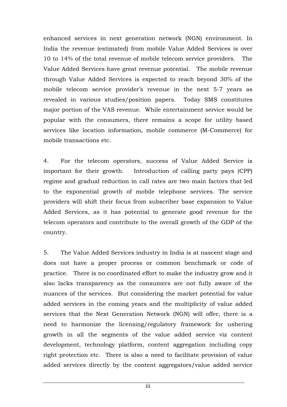enhanced services in next generation network (NGN) environment. In India the revenue (estimated) from mobile Value Added Services is over 10 to 14% of the total revenue of mobile telecom service providers. The Value Added Services have great revenue potential. The mobile revenue through Value Added Services is expected to reach beyond 30% of the mobile telecom service provider's revenue in the next 5-7 years as revealed in various studies/position papers. Today SMS constitutes major portion of the VAS revenue. While entertainment service would be popular with the consumers, there remains a scope for utility based services like location information, mobile commerce (M-Commerce) for mobile transactions etc.

4. For the telecom operators, success of Value Added Service is important for their growth. Introduction of calling party pays (CPP) regime and gradual reduction in call rates are two main factors that led to the exponential growth of mobile telephone services. The service providers will shift their focus from subscriber base expansion to Value Added Services, as it has potential to generate good revenue for the telecom operators and contribute to the overall growth of the GDP of the country.

5. The Value Added Services industry in India is at nascent stage and does not have a proper process or common benchmark or code of practice. There is no coordinated effort to make the industry grow and it also lacks transparency as the consumers are not fully aware of the nuances of the services. But considering the market potential for value added services in the coming years and the multiplicity of value added services that the Next Generation Network (NGN) will offer, there is a need to harmonize the licensing/regulatory framework for ushering growth in all the segments of the value added service viz content development, technology platform, content aggregation including copy right protection etc. There is also a need to facilitate provision of value added services directly by the content aggregators/value added service

iii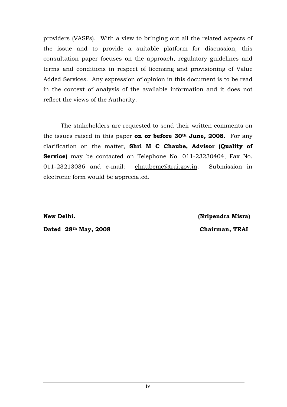providers (VASPs). With a view to bringing out all the related aspects of the issue and to provide a suitable platform for discussion, this consultation paper focuses on the approach, regulatory guidelines and terms and conditions in respect of licensing and provisioning of Value Added Services. Any expression of opinion in this document is to be read in the context of analysis of the available information and it does not reflect the views of the Authority.

The stakeholders are requested to send their written comments on the issues raised in this paper **on or before 30th June, 2008**. For any clarification on the matter, **Shri M C Chaube, Advisor (Quality of Service)** may be contacted on Telephone No. 011-23230404, Fax No. 011-23213036 and e-mail: chaubemc@trai.gov.in. Submission in electronic form would be appreciated.

**New Delhi. (Nripendra Misra)** 

Dated 28<sup>th</sup> May, 2008 Chairman, TRAI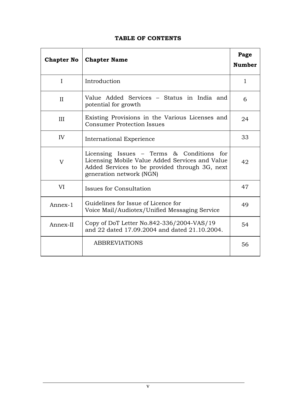## **TABLE OF CONTENTS**

| <b>Chapter No</b> | <b>Chapter Name</b>                                                                                                                                                          | Page<br><b>Number</b> |
|-------------------|------------------------------------------------------------------------------------------------------------------------------------------------------------------------------|-----------------------|
| I                 | Introduction                                                                                                                                                                 | $\mathbf{1}$          |
| II                | Value Added Services – Status in India and<br>potential for growth                                                                                                           | 6                     |
| III               | Existing Provisions in the Various Licenses and<br><b>Consumer Protection Issues</b>                                                                                         | 24                    |
| IV                | International Experience                                                                                                                                                     | 33                    |
| V                 | Licensing Issues $-$ Terms & Conditions for<br>Licensing Mobile Value Added Services and Value<br>Added Services to be provided through 3G, next<br>generation network (NGN) | 42                    |
| VI                | Issues for Consultation                                                                                                                                                      | 47                    |
| Annex-1           | Guidelines for Issue of Licence for<br>Voice Mail/Audiotex/Unified Messaging Service                                                                                         | 49                    |
| Annex-II          | Copy of DoT Letter No.842-336/2004-VAS/19<br>and 22 dated 17.09.2004 and dated 21.10.2004.                                                                                   | 54                    |
|                   | <b>ABBREVIATIONS</b>                                                                                                                                                         | 56                    |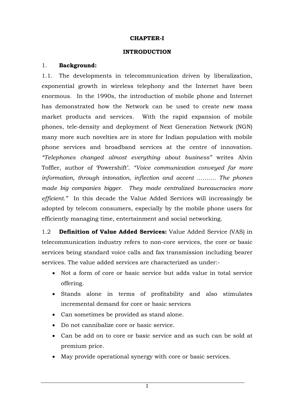#### **CHAPTER-I**

#### **INTRODUCTION**

#### 1. **Background:**

1.1. The developments in telecommunication driven by liberalization, exponential growth in wireless telephony and the Internet have been enormous. In the 1990s, the introduction of mobile phone and Internet has demonstrated how the Network can be used to create new mass market products and services. With the rapid expansion of mobile phones, tele-density and deployment of Next Generation Network (NGN) many more such novelties are in store for Indian population with mobile phone services and broadband services at the centre of innovation. *"Telephones changed almost everything about business"* writes Alvin Toffler, author of 'Powershift'. *"Voice communication conveyed far more information, through intonation, inflection and accent ………. The phones made big companies bigger. They made centralized bureaucracies more efficient."* In this decade the Value Added Services will increasingly be adopted by telecom consumers, especially by the mobile phone users for efficiently managing time, entertainment and social networking.

1.2 **Definition of Value Added Services:** Value Added Service (VAS) in telecommunication industry refers to non-core services, the core or basic services being standard voice calls and fax transmission including bearer services. The value added services are characterized as under:-

- Not a form of core or basic service but adds value in total service offering.
- Stands alone in terms of profitability and also stimulates incremental demand for core or basic services
- Can sometimes be provided as stand alone.
- Do not cannibalize core or basic service.
- Can be add on to core or basic service and as such can be sold at premium price.
- May provide operational synergy with core or basic services.

1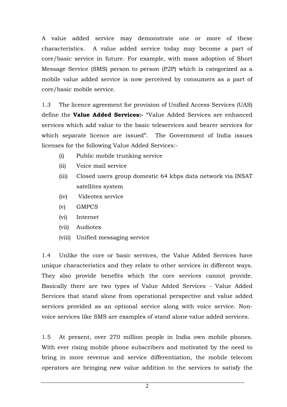A value added service may demonstrate one or more of these characteristics. A value added service today may become a part of core/basic service in future. For example, with mass adoption of Short Message Service (SMS) person to person (P2P) which is categorized as a mobile value added service is now perceived by consumers as a part of core/basic mobile service.

1.3 The licence agreement for provision of Unified Access Services (UAS) define the **Value Added Services:-** "Value Added Services are enhanced services which add value to the basic teleservices and bearer services for which separate licence are issued". The Government of India issues licenses for the following Value Added Services:-

- (i) Public mobile trunking service
- (ii) Voice mail service
- (iii) Closed users group domestic 64 kbps data network via INSAT satellites system
- (iv) Videotex service
- (v) GMPCS
- (vi) Internet
- (vii) Audiotex
- (viii) Unified messaging service

1.4 Unlike the core or basic services, the Value Added Services have unique characteristics and they relate to other services in different ways. They also provide benefits which the core services cannot provide. Basically there are two types of Value Added Services - Value Added Services that stand alone from operational perspective and value added services provided as an optional service along with voice service. Nonvoice services like SMS are examples of stand alone value added services.

1.5 At present, over 270 million people in India own mobile phones. With ever rising mobile phone subscribers and motivated by the need to bring in more revenue and service differentiation, the mobile telecom operators are bringing new value addition to the services to satisfy the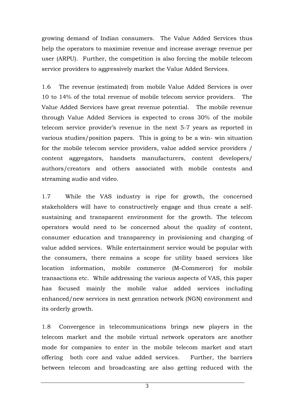growing demand of Indian consumers. The Value Added Services thus help the operators to maximize revenue and increase average revenue per user (ARPU). Further, the competition is also forcing the mobile telecom service providers to aggressively market the Value Added Services.

1.6 The revenue (estimated) from mobile Value Added Services is over 10 to 14% of the total revenue of mobile telecom service providers. The Value Added Services have great revenue potential. The mobile revenue through Value Added Services is expected to cross 30% of the mobile telecom service provider's revenue in the next 5-7 years as reported in various studies/position papers. This is going to be a win- win situation for the mobile telecom service providers, value added service providers / content aggregators, handsets manufacturers, content developers/ authors/creators and others associated with mobile contests and streaming audio and video.

1.7 While the VAS industry is ripe for growth, the concerned stakeholders will have to constructively engage and thus create a selfsustaining and transparent environment for the growth. The telecom operators would need to be concerned about the quality of content, consumer education and transparency in provisioning and charging of value added services. While entertainment service would be popular with the consumers, there remains a scope for utility based services like location information, mobile commerce (M-Commerce) for mobile transactions etc. While addressing the various aspects of VAS, this paper has focused mainly the mobile value added services including enhanced/new services in next genration network (NGN) environment and its orderly growth.

1.8 Convergence in telecommunications brings new players in the telecom market and the mobile virtual network operators are another mode for companies to enter in the mobile telecom market and start offering both core and value added services. Further, the barriers between telecom and broadcasting are also getting reduced with the

3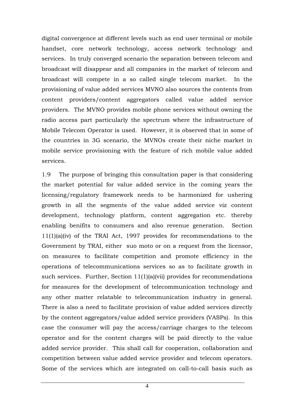digital convergence at different levels such as end user terminal or mobile handset, core network technology, access network technology and services. In truly converged scenario the separation between telecom and broadcast will disappear and all companies in the market of telecom and broadcast will compete in a so called single telecom market. In the provisioning of value added services MVNO also sources the contents from content providers/content aggregators called value added service providers. The MVNO provides mobile phone services without owning the radio access part particularly the spectrum where the infrastructure of Mobile Telecom Operator is used. However, it is observed that in some of the countries in 3G scenario, the MVNOs create their niche market in mobile service provisioning with the feature of rich mobile value added services.

1.9 The purpose of bringing this consultation paper is that considering the market potential for value added service in the coming years the licensing/regulatory framework needs to be harmonized for ushering growth in all the segments of the value added service viz content development, technology platform, content aggregation etc. thereby enabling benifits to consumers and also revenue generation. Section 11(1)(a)(iv) of the TRAI Act, 1997 provides for recommendations to the Government by TRAI, either suo moto or on a request from the licensor, on measures to facilitate competition and promote efficiency in the operations of telecommunications services so as to facilitate growth in such services. Further, Section 11(1)(a)(vii) provides for recommendations for measures for the development of telecommunication technology and any other matter relatable to telecommunication industry in general. There is also a need to facilitate provision of value added services directly by the content aggregators/value added service providers (VASPs). In this case the consumer will pay the access/carriage charges to the telecom operator and for the content charges will be paid directly to the value added service provider. This shall call for cooperation, collaboration and competition between value added service provider and telecom operators. Some of the services which are integrated on call-to-call basis such as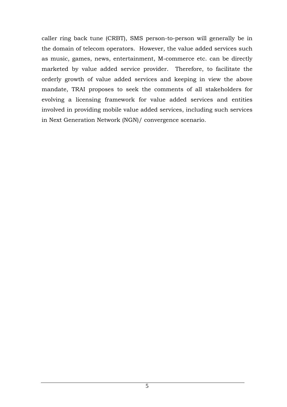caller ring back tune (CRBT), SMS person-to-person will generally be in the domain of telecom operators. However, the value added services such as music, games, news, entertainment, M-commerce etc. can be directly marketed by value added service provider. Therefore, to facilitate the orderly growth of value added services and keeping in view the above mandate, TRAI proposes to seek the comments of all stakeholders for evolving a licensing framework for value added services and entities involved in providing mobile value added services, including such services in Next Generation Network (NGN)/ convergence scenario.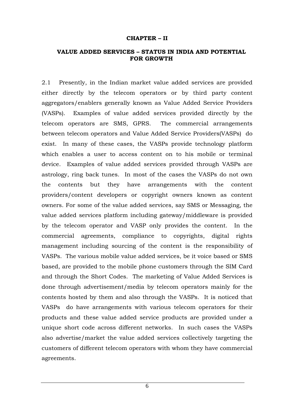#### **CHAPTER – II**

#### **VALUE ADDED SERVICES – STATUS IN INDIA AND POTENTIAL FOR GROWTH**

2.1 Presently, in the Indian market value added services are provided either directly by the telecom operators or by third party content aggregators/enablers generally known as Value Added Service Providers (VASPs). Examples of value added services provided directly by the telecom operators are SMS, GPRS. The commercial arrangements between telecom operators and Value Added Service Providers(VASPs) do exist. In many of these cases, the VASPs provide technology platform which enables a user to access content on to his mobile or terminal device. Examples of value added services provided through VASPs are astrology, ring back tunes. In most of the cases the VASPs do not own the contents but they have arrangements with the content providers/content developers or copyright owners known as content owners. For some of the value added services, say SMS or Messaging, the value added services platform including gateway/middleware is provided by the telecom operator and VASP only provides the content. In the commercial agreements, compliance to copyrights, digital rights management including sourcing of the content is the responsibility of VASPs. The various mobile value added services, be it voice based or SMS based, are provided to the mobile phone customers through the SIM Card and through the Short Codes. The marketing of Value Added Services is done through advertisement/media by telecom operators mainly for the contents hosted by them and also through the VASPs. It is noticed that VASPs do have arrangements with various telecom operators for their products and these value added service products are provided under a unique short code across different networks. In such cases the VASPs also advertise/market the value added services collectively targeting the customers of different telecom operators with whom they have commercial agreements.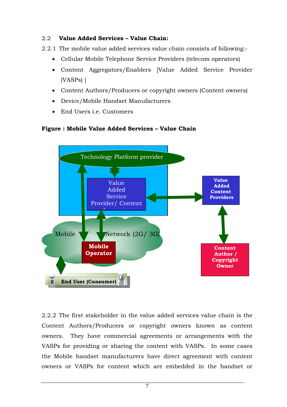## 2.2 **Value Added Services – Value Chain:**

- 2.2.1 The mobile value added services value chain consists of following:-
	- Cellular Mobile Telephone Service Providers (telecom operators)
	- Content Aggregators/Enablers [Value Added Service Provider (VASPs) ]
	- Content Authors/Producers or copyright owners (Content owners)
	- Device/Mobile Handset Manufacturers
	- End Users i.e. Customers

## **Figure : Mobile Value Added Services – Value Chain**



2.2.2 The first stakeholder in the value added services value chain is the Content Authors/Producers or copyright owners known as content owners. They have commercial agreements or arrangements with the VASPs for providing or sharing the content with VASPs. In some cases the Mobile handset manufacturers have direct agreement with content owners or VASPs for content which are embedded in the handset or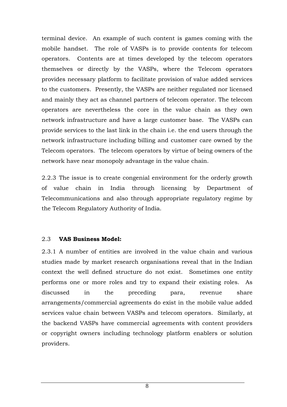terminal device. An example of such content is games coming with the mobile handset. The role of VASPs is to provide contents for telecom operators. Contents are at times developed by the telecom operators themselves or directly by the VASPs, where the Telecom operators provides necessary platform to facilitate provision of value added services to the customers. Presently, the VASPs are neither regulated nor licensed and mainly they act as channel partners of telecom operator. The telecom operators are nevertheless the core in the value chain as they own network infrastructure and have a large customer base. The VASPs can provide services to the last link in the chain i.e. the end users through the network infrastructure including billing and customer care owned by the Telecom operators. The telecom operators by virtue of being owners of the network have near monopoly advantage in the value chain.

2.2.3 The issue is to create congenial environment for the orderly growth of value chain in India through licensing by Department of Telecommunications and also through appropriate regulatory regime by the Telecom Regulatory Authority of India.

#### 2.3 **VAS Business Model:**

2.3.1 A number of entities are involved in the value chain and various studies made by market research organisations reveal that in the Indian context the well defined structure do not exist. Sometimes one entity performs one or more roles and try to expand their existing roles. As discussed in the preceding para, revenue share arrangements/commercial agreements do exist in the mobile value added services value chain between VASPs and telecom operators. Similarly, at the backend VASPs have commercial agreements with content providers or copyright owners including technology platform enablers or solution providers.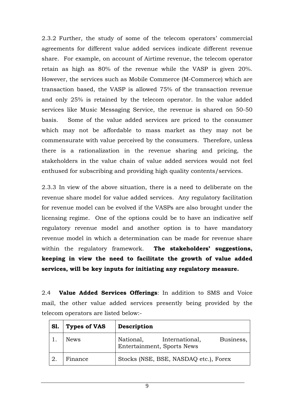2.3.2 Further, the study of some of the telecom operators' commercial agreements for different value added services indicate different revenue share. For example, on account of Airtime revenue, the telecom operator retain as high as 80% of the revenue while the VASP is given 20%. However, the services such as Mobile Commerce (M-Commerce) which are transaction based, the VASP is allowed 75% of the transaction revenue and only 25% is retained by the telecom operator. In the value added services like Music Messaging Service, the revenue is shared on 50-50 basis. Some of the value added services are priced to the consumer which may not be affordable to mass market as they may not be commensurate with value perceived by the consumers. Therefore, unless there is a rationalization in the revenue sharing and pricing, the stakeholders in the value chain of value added services would not feel enthused for subscribing and providing high quality contents/services.

2.3.3 In view of the above situation, there is a need to deliberate on the revenue share model for value added services. Any regulatory facilitation for revenue model can be evolved if the VASPs are also brought under the licensing regime. One of the options could be to have an indicative self regulatory revenue model and another option is to have mandatory revenue model in which a determination can be made for revenue share within the regulatory framework. **The stakeholders' suggestions, keeping in view the need to facilitate the growth of value added services, will be key inputs for initiating any regulatory measure.**

2.4 **Value Added Services Offerings**: In addition to SMS and Voice mail, the other value added services presently being provided by the telecom operators are listed below:-

| <b>S1.</b> | <b>Types of VAS</b> | Description                                                            |
|------------|---------------------|------------------------------------------------------------------------|
|            | <b>News</b>         | Business,<br>National,<br>International,<br>Entertainment, Sports News |
| -2.        | Finance             | Stocks (NSE, BSE, NASDAQ etc.), Forex                                  |

9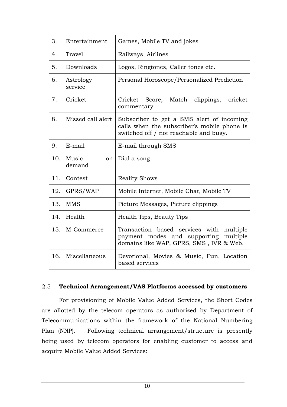| 3.  | Entertainment         | Games, Mobile TV and jokes                                                                                                         |
|-----|-----------------------|------------------------------------------------------------------------------------------------------------------------------------|
| 4.  | <b>Travel</b>         | Railways, Airlines                                                                                                                 |
| 5.  | Downloads             | Logos, Ringtones, Caller tones etc.                                                                                                |
| 6.  | Astrology<br>service  | Personal Horoscope/Personalized Prediction                                                                                         |
| 7.  | Cricket               | Cricket Score, Match<br>clippings,<br>cricket<br>commentary                                                                        |
| 8.  | Missed call alert     | Subscriber to get a SMS alert of incoming<br>calls when the subscriber's mobile phone is<br>switched off / not reachable and busy. |
| 9.  | E-mail                | E-mail through SMS                                                                                                                 |
|     |                       |                                                                                                                                    |
| 10. | Music<br>on<br>demand | Dial a song                                                                                                                        |
| 11. | Contest               | <b>Reality Shows</b>                                                                                                               |
| 12. | GPRS/WAP              | Mobile Internet, Mobile Chat, Mobile TV                                                                                            |
| 13. | <b>MMS</b>            | Picture Messages, Picture clippings                                                                                                |
| 14. | Health                | Health Tips, Beauty Tips                                                                                                           |
| 15. | M-Commerce            | Transaction based services with<br>multiple<br>payment modes and supporting<br>multiple<br>domains like WAP, GPRS, SMS, IVR & Web. |

#### 2.5 **Technical Arrangement/VAS Platforms accessed by customers**

For provisioning of Mobile Value Added Services, the Short Codes are allotted by the telecom operators as authorized by Department of Telecommunications within the framework of the National Numbering Plan (NNP). Following technical arrangement/structure is presently being used by telecom operators for enabling customer to access and acquire Mobile Value Added Services: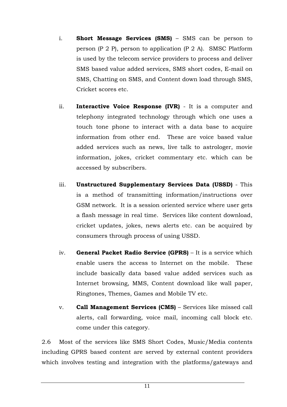- i. **Short Message Services (SMS)** SMS can be person to person (P 2 P), person to application (P 2 A). SMSC Platform is used by the telecom service providers to process and deliver SMS based value added services, SMS short codes, E-mail on SMS, Chatting on SMS, and Content down load through SMS, Cricket scores etc.
- ii. **Interactive Voice Response (IVR)** It is a computer and telephony integrated technology through which one uses a touch tone phone to interact with a data base to acquire information from other end. These are voice based value added services such as news, live talk to astrologer, movie information, jokes, cricket commentary etc. which can be accessed by subscribers.
- iii. **Unstructured Supplementary Services Data (USSD)** This is a method of transmitting information/instructions over GSM network. It is a session oriented service where user gets a flash message in real time. Services like content download, cricket updates, jokes, news alerts etc. can be acquired by consumers through process of using USSD.
- iv. **General Packet Radio Service (GPRS)** It is a service which enable users the access to Internet on the mobile. These include basically data based value added services such as Internet browsing, MMS, Content download like wall paper, Ringtones, Themes, Games and Mobile TV etc.
- v. **Call Management Services (CMS)** Services like missed call alerts, call forwarding, voice mail, incoming call block etc. come under this category.

2.6 Most of the services like SMS Short Codes, Music/Media contents including GPRS based content are served by external content providers which involves testing and integration with the platforms/gateways and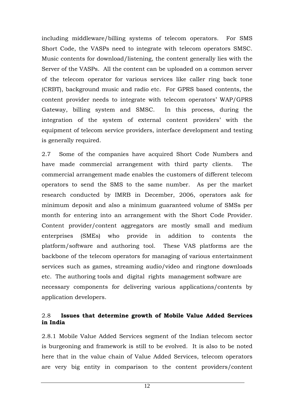including middleware/billing systems of telecom operators. For SMS Short Code, the VASPs need to integrate with telecom operators SMSC. Music contents for download/listening, the content generally lies with the Server of the VASPs. All the content can be uploaded on a common server of the telecom operator for various services like caller ring back tone (CRBT), background music and radio etc. For GPRS based contents, the content provider needs to integrate with telecom operators' WAP/GPRS Gateway, billing system and SMSC. In this process, during the integration of the system of external content providers' with the equipment of telecom service providers, interface development and testing is generally required.

2.7 Some of the companies have acquired Short Code Numbers and have made commercial arrangement with third party clients. The commercial arrangement made enables the customers of different telecom operators to send the SMS to the same number. As per the market research conducted by IMRB in December, 2006, operators ask for minimum deposit and also a minimum guaranteed volume of SMSs per month for entering into an arrangement with the Short Code Provider. Content provider/content aggregators are mostly small and medium enterprises (SMEs) who provide in addition to contents the platform/software and authoring tool. These VAS platforms are the backbone of the telecom operators for managing of various entertainment services such as games, streaming audio/video and ringtone downloads etc. The authoring tools and digital rights management software are necessary components for delivering various applications/contents by application developers.

## 2.8 **Issues that determine growth of Mobile Value Added Services in India**

2.8.1 Mobile Value Added Services segment of the Indian telecom sector is burgeoning and framework is still to be evolved. It is also to be noted here that in the value chain of Value Added Services, telecom operators are very big entity in comparison to the content providers/content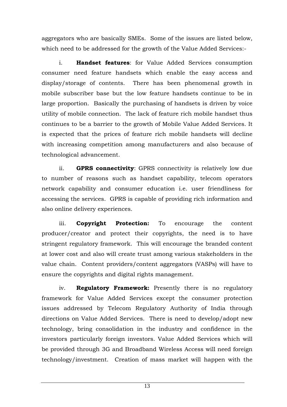aggregators who are basically SMEs. Some of the issues are listed below, which need to be addressed for the growth of the Value Added Services:-

 i. **Handset features**: for Value Added Services consumption consumer need feature handsets which enable the easy access and display/storage of contents. There has been phenomenal growth in mobile subscriber base but the low feature handsets continue to be in large proportion. Basically the purchasing of handsets is driven by voice utility of mobile connection. The lack of feature rich mobile handset thus continues to be a barrier to the growth of Mobile Value Added Services. It is expected that the prices of feature rich mobile handsets will decline with increasing competition among manufacturers and also because of technological advancement.

 ii. **GPRS connectivity**: GPRS connectivity is relatively low due to number of reasons such as handset capability, telecom operators network capability and consumer education i.e. user friendliness for accessing the services. GPRS is capable of providing rich information and also online delivery experiences.

 iii. **Copyright Protection:** To encourage the content producer/creator and protect their copyrights, the need is to have stringent regulatory framework. This will encourage the branded content at lower cost and also will create trust among various stakeholders in the value chain. Content providers/content aggregators (VASPs) will have to ensure the copyrights and digital rights management.

 iv. **Regulatory Framework:** Presently there is no regulatory framework for Value Added Services except the consumer protection issues addressed by Telecom Regulatory Authority of India through directions on Value Added Services. There is need to develop/adopt new technology, bring consolidation in the industry and confidence in the investors particularly foreign investors. Value Added Services which will be provided through 3G and Broadband Wireless Access will need foreign technology/investment. Creation of mass market will happen with the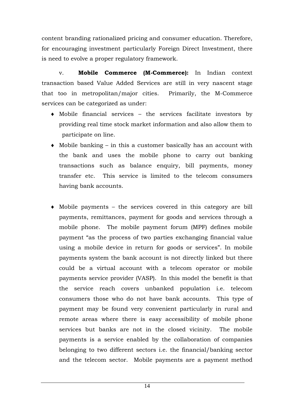content branding rationalized pricing and consumer education. Therefore, for encouraging investment particularly Foreign Direct Investment, there is need to evolve a proper regulatory framework.

 v. **Mobile Commerce (M-Commerce):** In Indian context transaction based Value Added Services are still in very nascent stage that too in metropolitan/major cities. Primarily, the M-Commerce services can be categorized as under:

- ♦ Mobile financial services the services facilitate investors by providing real time stock market information and also allow them to participate on line.
- $\bullet$  Mobile banking in this a customer basically has an account with the bank and uses the mobile phone to carry out banking transactions such as balance enquiry, bill payments, money transfer etc. This service is limited to the telecom consumers having bank accounts.
- ♦ Mobile payments the services covered in this category are bill payments, remittances, payment for goods and services through a mobile phone. The mobile payment forum (MPF) defines mobile payment "as the process of two parties exchanging financial value using a mobile device in return for goods or services". In mobile payments system the bank account is not directly linked but there could be a virtual account with a telecom operator or mobile payments service provider (VASP). In this model the benefit is that the service reach covers unbanked population i.e. telecom consumers those who do not have bank accounts. This type of payment may be found very convenient particularly in rural and remote areas where there is easy accessibility of mobile phone services but banks are not in the closed vicinity. The mobile payments is a service enabled by the collaboration of companies belonging to two different sectors i.e. the financial/banking sector and the telecom sector. Mobile payments are a payment method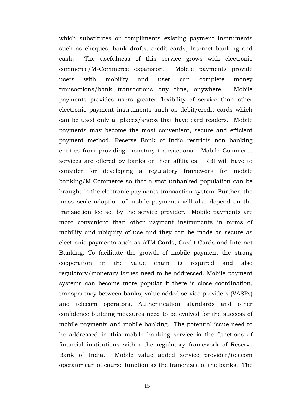which substitutes or compliments existing payment instruments such as cheques, bank drafts, credit cards, Internet banking and cash. The usefulness of this service grows with electronic commerce/M-Commerce expansion. Mobile payments provide users with mobility and user can complete money transactions/bank transactions any time, anywhere. Mobile payments provides users greater flexibility of service than other electronic payment instruments such as debit/credit cards which can be used only at places/shops that have card readers. Mobile payments may become the most convenient, secure and efficient payment method. Reserve Bank of India restricts non banking entities from providing monetary transactions. Mobile Commerce services are offered by banks or their affiliates. RBI will have to consider for developing a regulatory framework for mobile banking/M-Commerce so that a vast unbanked population can be brought in the electronic payments transaction system. Further, the mass scale adoption of mobile payments will also depend on the transaction fee set by the service provider. Mobile payments are more convenient than other payment instruments in terms of mobility and ubiquity of use and they can be made as secure as electronic payments such as ATM Cards, Credit Cards and Internet Banking. To facilitate the growth of mobile payment the strong cooperation in the value chain is required and also regulatory/monetary issues need to be addressed. Mobile payment systems can become more popular if there is close coordination, transparency between banks, value added service providers (VASPs) and telecom operators. Authentication standards and other confidence building measures need to be evolved for the success of mobile payments and mobile banking. The potential issue need to be addressed in this mobile banking service is the functions of financial institutions within the regulatory framework of Reserve Bank of India. Mobile value added service provider/telecom operator can of course function as the franchisee of the banks. The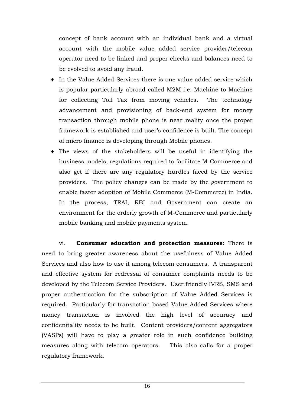concept of bank account with an individual bank and a virtual account with the mobile value added service provider/telecom operator need to be linked and proper checks and balances need to be evolved to avoid any fraud.

- $\bullet$  In the Value Added Services there is one value added service which is popular particularly abroad called M2M i.e. Machine to Machine for collecting Toll Tax from moving vehicles. The technology advancement and provisioning of back-end system for money transaction through mobile phone is near reality once the proper framework is established and user's confidence is built. The concept of micro finance is developing through Mobile phones.
- ♦ The views of the stakeholders will be useful in identifying the business models, regulations required to facilitate M-Commerce and also get if there are any regulatory hurdles faced by the service providers. The policy changes can be made by the government to enable faster adoption of Mobile Commerce (M-Commerce) in India. In the process, TRAI, RBI and Government can create an environment for the orderly growth of M-Commerce and particularly mobile banking and mobile payments system.

vi. **Consumer education and protection measures:** There is need to bring greater awareness about the usefulness of Value Added Services and also how to use it among telecom consumers. A transparent and effective system for redressal of consumer complaints needs to be developed by the Telecom Service Providers. User friendly IVRS, SMS and proper authentication for the subscription of Value Added Services is required. Particularly for transaction based Value Added Services where money transaction is involved the high level of accuracy and confidentiality needs to be built. Content providers/content aggregators (VASPs) will have to play a greater role in such confidence building measures along with telecom operators. This also calls for a proper regulatory framework.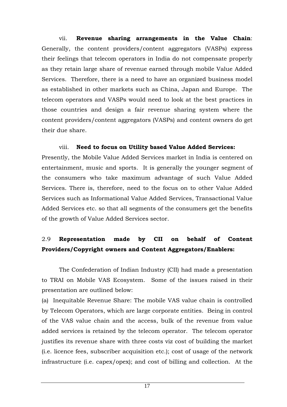vii. **Revenue sharing arrangements in the Value Chain**: Generally, the content providers/content aggregators (VASPs) express their feelings that telecom operators in India do not compensate properly as they retain large share of revenue earned through mobile Value Added Services. Therefore, there is a need to have an organized business model as established in other markets such as China, Japan and Europe. The telecom operators and VASPs would need to look at the best practices in those countries and design a fair revenue sharing system where the content providers/content aggregators (VASPs) and content owners do get their due share.

 viii. **Need to focus on Utility based Value Added Services:**  Presently, the Mobile Value Added Services market in India is centered on entertainment, music and sports. It is generally the younger segment of the consumers who take maximum advantage of such Value Added Services. There is, therefore, need to the focus on to other Value Added Services such as Informational Value Added Services, Transactional Value Added Services etc. so that all segments of the consumers get the benefits of the growth of Value Added Services sector.

## 2.9 **Representation made by CII on behalf of Content Providers/Copyright owners and Content Aggregators/Enablers:**

The Confederation of Indian Industry (CII) had made a presentation to TRAI on Mobile VAS Ecosystem. Some of the issues raised in their presentation are outlined below:

(a) Inequitable Revenue Share: The mobile VAS value chain is controlled by Telecom Operators, which are large corporate entities. Being in control of the VAS value chain and the access, bulk of the revenue from value added services is retained by the telecom operator. The telecom operator justifies its revenue share with three costs viz cost of building the market (i.e. licence fees, subscriber acquisition etc.); cost of usage of the network infrastructure (i.e. capex/opex); and cost of billing and collection. At the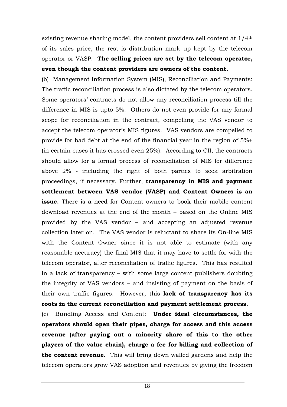existing revenue sharing model, the content providers sell content at 1/4th of its sales price, the rest is distribution mark up kept by the telecom operator or VASP. **The selling prices are set by the telecom operator, even though the content providers are owners of the content.**

(b) Management Information System (MIS), Reconciliation and Payments: The traffic reconciliation process is also dictated by the telecom operators. Some operators' contracts do not allow any reconciliation process till the difference in MIS is upto 5%. Others do not even provide for any formal scope for reconciliation in the contract, compelling the VAS vendor to accept the telecom operator's MIS figures. VAS vendors are compelled to provide for bad debt at the end of the financial year in the region of 5%+ (in certain cases it has crossed even 25%). According to CII, the contracts should allow for a formal process of reconciliation of MIS for difference above 2% - including the right of both parties to seek arbitration proceedings, if necessary. Further, **transparency in MIS and payment settlement between VAS vendor (VASP) and Content Owners is an issue.** There is a need for Content owners to book their mobile content download revenues at the end of the month – based on the Online MIS provided by the VAS vendor – and accepting an adjusted revenue collection later on. The VAS vendor is reluctant to share its On-line MIS with the Content Owner since it is not able to estimate (with any reasonable accuracy) the final MIS that it may have to settle for with the telecom operator, after reconciliation of traffic figures. This has resulted in a lack of transparency – with some large content publishers doubting the integrity of VAS vendors – and insisting of payment on the basis of their own traffic figures. However, this **lack of transparency has its roots in the current reconciliation and payment settlement process.**

(c) Bundling Access and Content: **Under ideal circumstances, the operators should open their pipes, charge for access and this access revenue (after paying out a minority share of this to the other players of the value chain), charge a fee for billing and collection of the content revenue.** This will bring down walled gardens and help the telecom operators grow VAS adoption and revenues by giving the freedom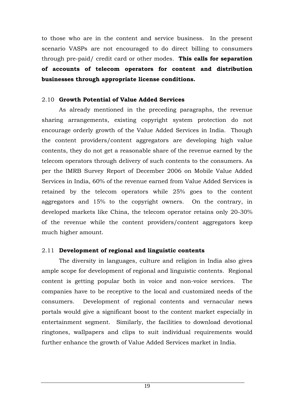to those who are in the content and service business. In the present scenario VASPs are not encouraged to do direct billing to consumers through pre-paid/ credit card or other modes. **This calls for separation of accounts of telecom operators for content and distribution businesses through appropriate license conditions.** 

## 2.10 **Growth Potential of Value Added Services**

As already mentioned in the preceding paragraphs, the revenue sharing arrangements, existing copyright system protection do not encourage orderly growth of the Value Added Services in India. Though the content providers/content aggregators are developing high value contents, they do not get a reasonable share of the revenue earned by the telecom operators through delivery of such contents to the consumers. As per the IMRB Survey Report of December 2006 on Mobile Value Added Services in India, 60% of the revenue earned from Value Added Services is retained by the telecom operators while 25% goes to the content aggregators and 15% to the copyright owners. On the contrary, in developed markets like China, the telecom operator retains only 20-30% of the revenue while the content providers/content aggregators keep much higher amount.

## 2.11 **Development of regional and linguistic contents**

The diversity in languages, culture and religion in India also gives ample scope for development of regional and linguistic contents. Regional content is getting popular both in voice and non-voice services. The companies have to be receptive to the local and customized needs of the consumers. Development of regional contents and vernacular news portals would give a significant boost to the content market especially in entertainment segment. Similarly, the facilities to download devotional ringtones, wallpapers and clips to suit individual requirements would further enhance the growth of Value Added Services market in India.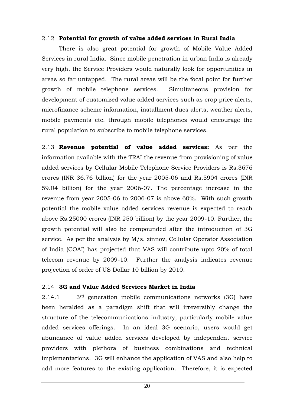## 2.12 **Potential for growth of value added services in Rural India**

There is also great potential for growth of Mobile Value Added Services in rural India. Since mobile penetration in urban India is already very high, the Service Providers would naturally look for opportunities in areas so far untapped. The rural areas will be the focal point for further growth of mobile telephone services. Simultaneous provision for development of customized value added services such as crop price alerts, microfinance scheme information, installment dues alerts, weather alerts, mobile payments etc. through mobile telephones would encourage the rural population to subscribe to mobile telephone services.

2.13 **Revenue potential of value added services:** As per the information available with the TRAI the revenue from provisioning of value added services by Cellular Mobile Telephone Service Providers is Rs.3676 crores (INR 36.76 billion) for the year 2005-06 and Rs.5904 crores (INR 59.04 billion) for the year 2006-07. The percentage increase in the revenue from year 2005-06 to 2006-07 is above 60%. With such growth potential the mobile value added services revenue is expected to reach above Rs.25000 crores (INR 250 billion) by the year 2009-10. Further, the growth potential will also be compounded after the introduction of 3G service. As per the analysis by M/s. zinnov, Cellular Operator Association of India (COAI) has projected that VAS will contribute upto 20% of total telecom revenue by 2009-10. Further the analysis indicates revenue projection of order of US Dollar 10 billion by 2010.

## 2.14 **3G and Value Added Services Market in India**

2.14.1 3rd generation mobile communications networks (3G) have been heralded as a paradigm shift that will irreversibly change the structure of the telecommunications industry, particularly mobile value added services offerings. In an ideal 3G scenario, users would get abundance of value added services developed by independent service providers with plethora of business combinations and technical implementations. 3G will enhance the application of VAS and also help to add more features to the existing application. Therefore, it is expected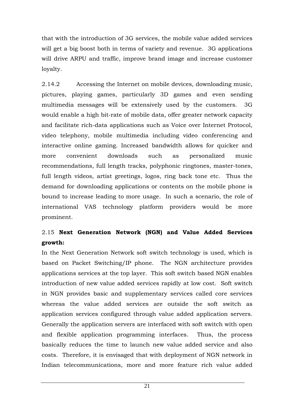that with the introduction of 3G services, the mobile value added services will get a big boost both in terms of variety and revenue. 3G applications will drive ARPU and traffic, improve brand image and increase customer loyalty.

2.14.2 Accessing the Internet on mobile devices, downloading music, pictures, playing games, particularly 3D games and even sending multimedia messages will be extensively used by the customers. 3G would enable a high bit-rate of mobile data, offer greater network capacity and facilitate rich-data applications such as Voice over Internet Protocol, video telephony, mobile multimedia including video conferencing and interactive online gaming. Increased bandwidth allows for quicker and more convenient downloads such as personalized music recommendations, full length tracks, polyphonic ringtones, master-tones, full length videos, artist greetings, logos, ring back tone etc. Thus the demand for downloading applications or contents on the mobile phone is bound to increase leading to more usage. In such a scenario, the role of international VAS technology platform providers would be more prominent.

## 2.15 **Next Generation Network (NGN) and Value Added Services growth:**

In the Next Generation Network soft switch technology is used, which is based on Packet Switching/IP phone. The NGN architecture provides applications services at the top layer. This soft switch based NGN enables introduction of new value added services rapidly at low cost. Soft switch in NGN provides basic and supplementary services called core services whereas the value added services are outside the soft switch as application services configured through value added application servers. Generally the application servers are interfaced with soft switch with open and flexible application programming interfaces. Thus, the process basically reduces the time to launch new value added service and also costs. Therefore, it is envisaged that with deployment of NGN network in Indian telecommunications, more and more feature rich value added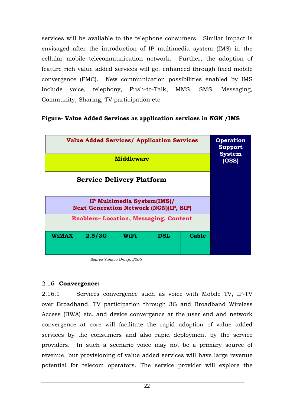services will be available to the telephone consumers. Similar impact is envisaged after the introduction of IP multimedia system (IMS) in the cellular mobile telecommunication network. Further, the adoption of feature rich value added services will get enhanced through fixed mobile convergence (FMC). New communication possibilities enabled by IMS include voice, telephony, Push-to-Talk, MMS, SMS, Messaging, Community, Sharing, TV participation etc.

## **Figure- Value Added Services as application services in NGN /IMS**



*Source Yankee Group, 2006* 

## 2.16 **Convergence:**

2.16.1 Services convergence such as voice with Mobile TV, IP-TV over Broadband, TV participation through 3G and Broadband Wireless Access (BWA) etc. and device convergence at the user end and network convergence at core will facilitate the rapid adoption of value added services by the consumers and also rapid deployment by the service providers. In such a scenario voice may not be a primary source of revenue, but provisioning of value added services will have large revenue potential for telecom operators. The service provider will explore the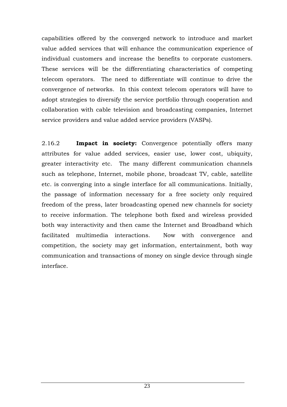capabilities offered by the converged network to introduce and market value added services that will enhance the communication experience of individual customers and increase the benefits to corporate customers. These services will be the differentiating characteristics of competing telecom operators. The need to differentiate will continue to drive the convergence of networks. In this context telecom operators will have to adopt strategies to diversify the service portfolio through cooperation and collaboration with cable television and broadcasting companies, Internet service providers and value added service providers (VASPs).

2.16.2 **Impact in society:** Convergence potentially offers many attributes for value added services, easier use, lower cost, ubiquity, greater interactivity etc. The many different communication channels such as telephone, Internet, mobile phone, broadcast TV, cable, satellite etc. is converging into a single interface for all communications. Initially, the passage of information necessary for a free society only required freedom of the press, later broadcasting opened new channels for society to receive information. The telephone both fixed and wireless provided both way interactivity and then came the Internet and Broadband which facilitated multimedia interactions. Now with convergence and competition, the society may get information, entertainment, both way communication and transactions of money on single device through single interface.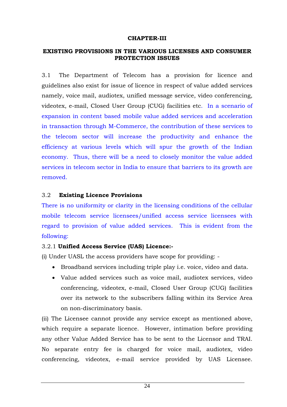#### **CHAPTER-III**

#### **EXISTING PROVISIONS IN THE VARIOUS LICENSES AND CONSUMER PROTECTION ISSUES**

3.1 The Department of Telecom has a provision for licence and guidelines also exist for issue of licence in respect of value added services namely, voice mail, audiotex, unified message service, video conferencing, videotex, e-mail, Closed User Group (CUG) facilities etc. In a scenario of expansion in content based mobile value added services and acceleration in transaction through M-Commerce, the contribution of these services to the telecom sector will increase the productivity and enhance the efficiency at various levels which will spur the growth of the Indian economy. Thus, there will be a need to closely monitor the value added services in telecom sector in India to ensure that barriers to its growth are removed.

#### 3.2 **Existing Licence Provisions**

There is no uniformity or clarity in the licensing conditions of the cellular mobile telecom service licensees/unified access service licensees with regard to provision of value added services. This is evident from the following:

## 3.2.1 **Unified Access Service (UAS) Licence:-**

(i) Under UASL the access providers have scope for providing: -

- Broadband services including triple play i.e. voice, video and data.
- Value added services such as voice mail, audiotex services, video conferencing, videotex, e-mail, Closed User Group (CUG) facilities over its network to the subscribers falling within its Service Area on non-discriminatory basis.

(ii) The Licensee cannot provide any service except as mentioned above, which require a separate licence. However, intimation before providing any other Value Added Service has to be sent to the Licensor and TRAI. No separate entry fee is charged for voice mail, audiotex, video conferencing, videotex, e-mail service provided by UAS Licensee.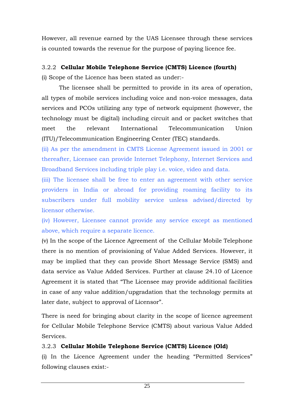However, all revenue earned by the UAS Licensee through these services is counted towards the revenue for the purpose of paying licence fee.

## 3.2.2 **Cellular Mobile Telephone Service (CMTS) Licence (fourth)**

(i) Scope of the Licence has been stated as under:-

The licensee shall be permitted to provide in its area of operation, all types of mobile services including voice and non-voice messages, data services and PCOs utilizing any type of network equipment (however, the technology must be digital) including circuit and or packet switches that meet the relevant International Telecommunication Union (ITU)/Telecommunication Engineering Center (TEC) standards.

(ii) As per the amendment in CMTS License Agreement issued in 2001 or thereafter, Licensee can provide Internet Telephony, Internet Services and Broadband Services including triple play i.e. voice, video and data.

(iii) The licensee shall be free to enter an agreement with other service providers in India or abroad for providing roaming facility to its subscribers under full mobility service unless advised/directed by licensor otherwise.

(iv) However, Licensee cannot provide any service except as mentioned above, which require a separate licence.

(v) In the scope of the Licence Agreement of the Cellular Mobile Telephone there is no mention of provisioning of Value Added Services. However, it may be implied that they can provide Short Message Service (SMS) and data service as Value Added Services. Further at clause 24.10 of Licence Agreement it is stated that "The Licensee may provide additional facilities in case of any value addition/upgradation that the technology permits at later date, subject to approval of Licensor".

There is need for bringing about clarity in the scope of licence agreement for Cellular Mobile Telephone Service (CMTS) about various Value Added Services.

## 3.2.3 **Cellular Mobile Telephone Service (CMTS) Licence (Old)**

(i) In the Licence Agreement under the heading "Permitted Services" following clauses exist:-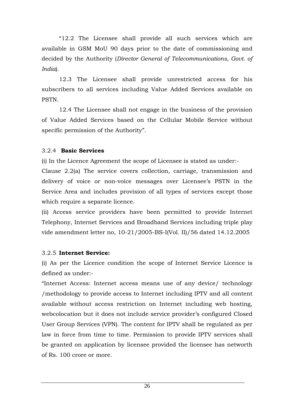"12.2 The Licensee shall provide all such services which are available in GSM MoU 90 days prior to the date of commissioning and decided by the Authority (*Director General of Telecommunications, Govt. of India*).

12.3 The Licensee shall provide unrestricted access for his subscribers to all services including Value Added Services available on PSTN.

12.4 The Licensee shall not engage in the business of the provision of Value Added Services based on the Cellular Mobile Service without specific permission of the Authority".

## 3.2.4 **Basic Services**

(i) In the Licence Agreement the scope of Licensee is stated as under:-

Clause 2.2(a) The service covers collection, carriage, transmission and delivery of voice or non-voice messages over Licensee's PSTN in the Service Area and includes provision of all types of services except those which require a separate licence.

(ii) Access service providers have been permitted to provide Internet Telephony, Internet Services and Broadband Services including triple play vide amendment letter no, 10-21/2005-BS-I(Vol. II)/56 dated 14.12.2005

## 3.2.5 **Internet Service:**

(i) As per the Licence condition the scope of Internet Service Licence is defined as under:-

"Internet Access: Internet access means use of any device/ technology /methodology to provide access to Internet including IPTV and all content available without access restriction on Internet including web hosting, webcolocation but it does not include service provider's configured Closed User Group Services (VPN). The content for IPTV shall be regulated as per law in force from time to time. Permission to provide IPTV services shall be granted on application by licensee provided the licensee has networth of Rs. 100 crore or more.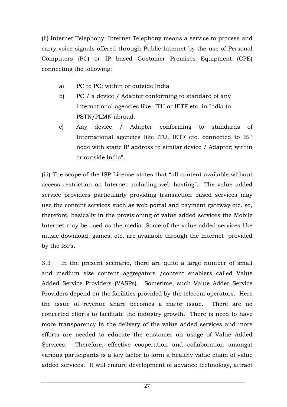(ii) Internet Telephony: Internet Telephony means a service to process and carry voice signals offered through Public Internet by the use of Personal Computers (PC) or IP based Customer Premises Equipment (CPE) connecting the following:

- a) PC to PC; within or outside India
- b) PC / a device / Adapter conforming to standard of any international agencies like- ITU or IETF etc. in India to PSTN/PLMN abroad.
- c) Any device / Adapter conforming to standards of International agencies like ITU, IETF etc. connected to ISP node with static IP address to similar device / Adapter; within or outside India".

(iii) The scope of the ISP License states that "all content available without access restriction on Internet including web hosting". The value added service providers particularly providing transaction based services may use the content services such as web portal and payment gateway etc. so, therefore, basically in the provisioning of value added services the Mobile Internet may be used as the media. Some of the value added services like music download, games, etc. are available through the Internet provided by the ISPs.

3.3In the present scenario, there are quite a large number of small and medium size content aggregators /content enablers called Value Added Service Providers (VASPs). Sometime, such Value Adder Service Providers depend on the facilities provided by the telecom operators. Here the issue of revenue share becomes a major issue. There are no concerted efforts to facilitate the industry growth. There is need to have more transparency in the delivery of the value added services and more efforts are needed to educate the customer on usage of Value Added Services. Therefore, effective cooperation and collaboration amongst various participants is a key factor to form a healthy value chain of value added services. It will ensure development of advance technology, attract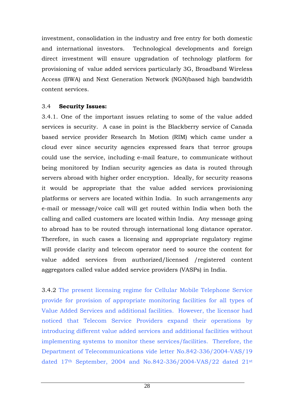investment, consolidation in the industry and free entry for both domestic and international investors. Technological developments and foreign direct investment will ensure upgradation of technology platform for provisioning of value added services particularly 3G, Broadband Wireless Access (BWA) and Next Generation Network (NGN)based high bandwidth content services.

#### 3.4 **Security Issues:**

3.4.1. One of the important issues relating to some of the value added services is security. A case in point is the Blackberry service of Canada based service provider Research In Motion (RIM) which came under a cloud ever since security agencies expressed fears that terror groups could use the service, including e-mail feature, to communicate without being monitored by Indian security agencies as data is routed through servers abroad with higher order encryption. Ideally, for security reasons it would be appropriate that the value added services provisioning platforms or servers are located within India. In such arrangements any e-mail or message/voice call will get routed within India when both the calling and called customers are located within India. Any message going to abroad has to be routed through international long distance operator. Therefore, in such cases a licensing and appropriate regulatory regime will provide clarity and telecom operator need to source the content for value added services from authorized/licensed /registered content aggregators called value added service providers (VASPs) in India.

3.4.2 The present licensing regime for Cellular Mobile Telephone Service provide for provision of appropriate monitoring facilities for all types of Value Added Services and additional facilities. However, the licensor had noticed that Telecom Service Providers expand their operations by introducing different value added services and additional facilities without implementing systems to monitor these services/facilities. Therefore, the Department of Telecommunications vide letter No.842-336/2004-VAS/19 dated 17th September, 2004 and No.842-336/2004-VAS/22 dated 21st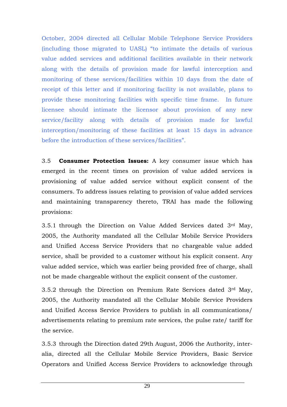October, 2004 directed all Cellular Mobile Telephone Service Providers (including those migrated to UASL) "to intimate the details of various value added services and additional facilities available in their network along with the details of provision made for lawful interception and monitoring of these services/facilities within 10 days from the date of receipt of this letter and if monitoring facility is not available, plans to provide these monitoring facilities with specific time frame. In future licensee should intimate the licensor about provision of any new service/facility along with details of provision made for lawful interception/monitoring of these facilities at least 15 days in advance before the introduction of these services/facilities".

3.5 **Consumer Protection Issues:** A key consumer issue which has emerged in the recent times on provision of value added services is provisioning of value added service without explicit consent of the consumers. To address issues relating to provision of value added services and maintaining transparency thereto, TRAI has made the following provisions:

3.5.1 through the Direction on Value Added Services dated 3rd May, 2005, the Authority mandated all the Cellular Mobile Service Providers and Unified Access Service Providers that no chargeable value added service, shall be provided to a customer without his explicit consent. Any value added service, which was earlier being provided free of charge, shall not be made chargeable without the explicit consent of the customer.

3.5.2 through the Direction on Premium Rate Services dated 3rd May, 2005, the Authority mandated all the Cellular Mobile Service Providers and Unified Access Service Providers to publish in all communications/ advertisements relating to premium rate services, the pulse rate/ tariff for the service.

3.5.3 through the Direction dated 29th August, 2006 the Authority, interalia, directed all the Cellular Mobile Service Providers, Basic Service Operators and Unified Access Service Providers to acknowledge through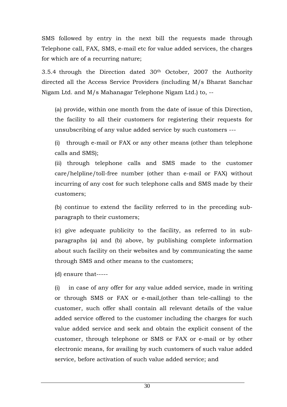SMS followed by entry in the next bill the requests made through Telephone call, FAX, SMS, e-mail etc for value added services, the charges for which are of a recurring nature;

3.5.4 through the Direction dated 30th October, 2007 the Authority directed all the Access Service Providers (including M/s Bharat Sanchar Nigam Ltd. and M/s Mahanagar Telephone Nigam Ltd.) to, --

(a) provide, within one month from the date of issue of this Direction, the facility to all their customers for registering their requests for unsubscribing of any value added service by such customers ---

(i) through e-mail or FAX or any other means (other than telephone calls and SMS);

(ii) through telephone calls and SMS made to the customer care/helpline/toll-free number (other than e-mail or FAX) without incurring of any cost for such telephone calls and SMS made by their customers;

(b) continue to extend the facility referred to in the preceding subparagraph to their customers;

(c) give adequate publicity to the facility, as referred to in subparagraphs (a) and (b) above, by publishing complete information about such facility on their websites and by communicating the same through SMS and other means to the customers;

(d) ensure that-----

(i) in case of any offer for any value added service, made in writing or through SMS or FAX or e-mail,(other than tele-calling) to the customer, such offer shall contain all relevant details of the value added service offered to the customer including the charges for such value added service and seek and obtain the explicit consent of the customer, through telephone or SMS or FAX or e-mail or by other electronic means, for availing by such customers of such value added service, before activation of such value added service; and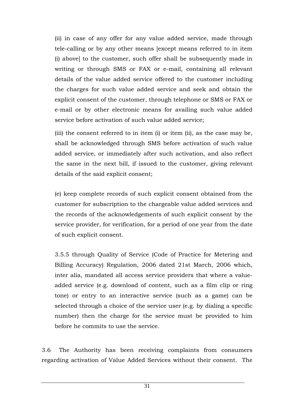(ii) in case of any offer for any value added service, made through tele-calling or by any other means [except means referred to in item (i) above] to the customer, such offer shall be subsequently made in writing or through SMS or FAX or e-mail, containing all relevant details of the value added service offered to the customer including the charges for such value added service and seek and obtain the explicit consent of the customer, through telephone or SMS or FAX or e-mail or by other electronic means for availing such value added service before activation of such value added service;

(iii) the consent referred to in item (i) or item (ii), as the case may be, shall be acknowledged through SMS before activation of such value added service, or immediately after such activation, and also reflect the same in the next bill, if issued to the customer, giving relevant details of the said explicit consent;

(e) keep complete records of such explicit consent obtained from the customer for subscription to the chargeable value added services and the records of the acknowledgements of such explicit consent by the service provider, for verification, for a period of one year from the date of such explicit consent.

3.5.5 through Quality of Service (Code of Practice for Metering and Billing Accuracy) Regulation, 2006 dated 21st March, 2006 which, inter alia, mandated all access service providers that where a valueadded service (e.g. download of content, such as a film clip or ring tone) or entry to an interactive service (such as a game) can be selected through a choice of the service user (e.g. by dialing a specific number) then the charge for the service must be provided to him before he commits to use the service.

3.6 The Authority has been receiving complaints from consumers regarding activation of Value Added Services without their consent. The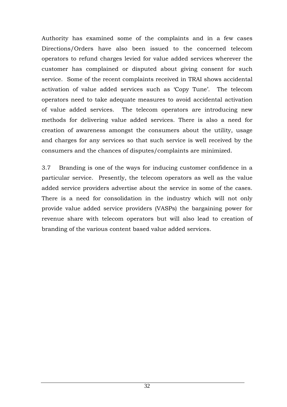Authority has examined some of the complaints and in a few cases Directions/Orders have also been issued to the concerned telecom operators to refund charges levied for value added services wherever the customer has complained or disputed about giving consent for such service. Some of the recent complaints received in TRAI shows accidental activation of value added services such as 'Copy Tune'. The telecom operators need to take adequate measures to avoid accidental activation of value added services. The telecom operators are introducing new methods for delivering value added services. There is also a need for creation of awareness amongst the consumers about the utility, usage and charges for any services so that such service is well received by the consumers and the chances of disputes/complaints are minimized.

3.7 Branding is one of the ways for inducing customer confidence in a particular service. Presently, the telecom operators as well as the value added service providers advertise about the service in some of the cases. There is a need for consolidation in the industry which will not only provide value added service providers (VASPs) the bargaining power for revenue share with telecom operators but will also lead to creation of branding of the various content based value added services.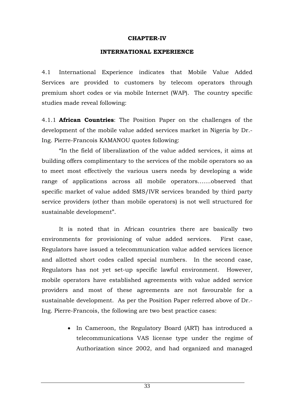#### **CHAPTER-IV**

#### **INTERNATIONAL EXPERIENCE**

4.1 International Experience indicates that Mobile Value Added Services are provided to customers by telecom operators through premium short codes or via mobile Internet (WAP). The country specific studies made reveal following:

4.1.1 **African Countries**: The Position Paper on the challenges of the development of the mobile value added services market in Nigeria by Dr.- Ing. Pierre-Francois KAMANOU quotes following:

"In the field of liberalization of the value added services, it aims at building offers complimentary to the services of the mobile operators so as to meet most effectively the various users needs by developing a wide range of applications across all mobile operators…....observed that specific market of value added SMS/IVR services branded by third party service providers (other than mobile operators) is not well structured for sustainable development".

It is noted that in African countries there are basically two environments for provisioning of value added services. First case, Regulators have issued a telecommunication value added services licence and allotted short codes called special numbers. In the second case, Regulators has not yet set-up specific lawful environment. However, mobile operators have established agreements with value added service providers and most of these agreements are not favourable for a sustainable development. As per the Position Paper referred above of Dr.- Ing. Pierre-Francois, the following are two best practice cases:

> • In Cameroon, the Regulatory Board (ART) has introduced a telecommunications VAS license type under the regime of Authorization since 2002, and had organized and managed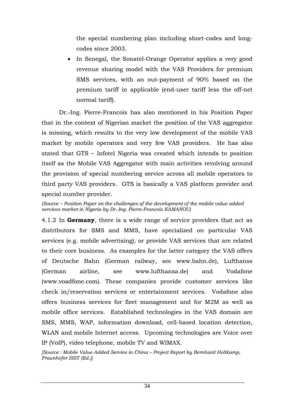the special numbering plan including short-codes and longcodes since 2003.

In Senegal, the Sonatel-Orange Operator applies a very good revenue sharing model with the VAS Providers for premium SMS services, with an out-payment of 90% based on the premium tariff in applicable (end-user tariff less the off-net normal tariff).

Dr.-Ing. Pierre-Francois has also mentioned in his Position Paper that in the context of Nigerian market the position of the VAS aggregator is missing, which results to the very low development of the mobile VAS market by mobile operators and very few VAS providers. He has also stated that GTS – Infotel Nigeria was created which intends to position itself as the Mobile VAS Aggregator with main activities revolving around the provision of special numbering service across all mobile operators to third party VAS providers. GTS is basically a VAS platform provider and special number provider.

*(Source – Position Paper on the challenges of the development of the mobile value added services market in Nigeria by Dr.-Ing. Pierre-Francois KAMANOU)* 

4.1.2 In **Germany**, there is a wide range of service providers that act as distributors for SMS and MMS, have specialized on particular VAS services (e.g. mobile advertising), or provide VAS services that are related to their core business. As examples for the latter category the VAS offers of Deutsche Bahn (German railway, see www.bahn.de), Lufthanss (German airline, see www.lufthansa.de) and Vodafone (www.voadfone.com). These companies provide customer services like check in/reservation services or entertainment services. Vodafone also offers business services for fleet management and for M2M as well as mobile office services. Established technologies in the VAS domain are SMS, MMS, WAP, information download, cell-based location detection, WLAN and mobile Internet access. Upcoming technologies are Voice over IP (VoIP), video telephone, mobile TV and WIMAX.

*[Source : Mobile Value Added Service in China – Project Report by Bernhard Holtkamp, Fraunhofer ISST (Ed.)]*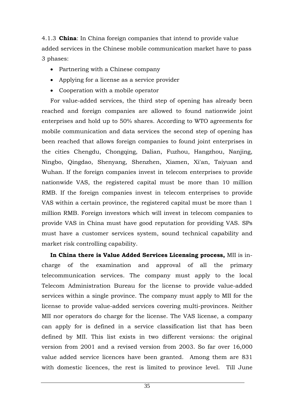4.1.3 **China**: In China foreign companies that intend to provide value added services in the Chinese mobile communication market have to pass 3 phases:

- Partnering with a Chinese company
- Applying for a license as a service provider
- Cooperation with a mobile operator

For value-added services, the third step of opening has already been reached and foreign companies are allowed to found nationwide joint enterprises and hold up to 50% shares. According to WTO agreements for mobile communication and data services the second step of opening has been reached that allows foreign companies to found joint enterprises in the cities Chengdu, Chongqing, Dalian, Fuzhou, Hangzhou, Nanjing, Ningbo, Qingdao, Shenyang, Shenzhen, Xiamen, Xi'an, Taiyuan and Wuhan. If the foreign companies invest in telecom enterprises to provide nationwide VAS, the registered capital must be more than 10 million RMB. If the foreign companies invest in telecom enterprises to provide VAS within a certain province, the registered capital must be more than 1 million RMB. Foreign investors which will invest in telecom companies to provide VAS in China must have good reputation for providing VAS. SPs must have a customer services system, sound technical capability and market risk controlling capability.

**In China there is Value Added Services Licensing process,** MII is incharge of the examination and approval of all the primary telecommunication services. The company must apply to the local Telecom Administration Bureau for the license to provide value-added services within a single province. The company must apply to MII for the license to provide value-added services covering multi-provinces. Neither MII nor operators do charge for the license. The VAS license, a company can apply for is defined in a service classification list that has been defined by MII. This list exists in two different versions: the original version from 2001 and a revised version from 2003. So far over 16,000 value added service licences have been granted. Among them are 831 with domestic licences, the rest is limited to province level. Till June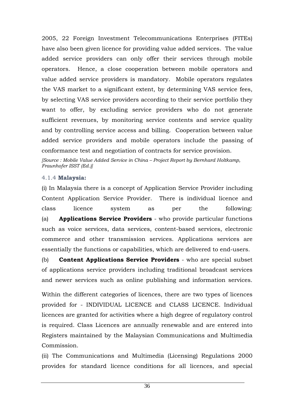2005, 22 Foreign Investment Telecommunications Enterprises (FITEs) have also been given licence for providing value added services. The value added service providers can only offer their services through mobile operators. Hence, a close cooperation between mobile operators and value added service providers is mandatory. Mobile operators regulates the VAS market to a significant extent, by determining VAS service fees, by selecting VAS service providers according to their service portfolio they want to offer, by excluding service providers who do not generate sufficient revenues, by monitoring service contents and service quality and by controlling service access and billing. Cooperation between value added service providers and mobile operators include the passing of conformance test and negotiation of contracts for service provision.

*[Source : Mobile Value Added Service in China – Project Report by Bernhard Holtkamp, Fraunhofer ISST (Ed.)]* 

#### 4.1.4 **Malaysia:**

(i) In Malaysia there is a concept of Application Service Provider including Content Application Service Provider. There is individual licence and class licence system as per the following: (a) **Applications Service Providers** - who provide particular functions such as voice services, data services, content-based services, electronic commerce and other transmission services. Applications services are essentially the functions or capabilities, which are delivered to end-users.

(b) **Content Applications Service Providers** - who are special subset of applications service providers including traditional broadcast services and newer services such as online publishing and information services.

Within the different categories of licences, there are two types of licences provided for - INDIVIDUAL LICENCE and CLASS LICENCE. Individual licences are granted for activities where a high degree of regulatory control is required. Class Licences are annually renewable and are entered into Registers maintained by the Malaysian Communications and Multimedia Commission.

(ii) The Communications and Multimedia (Licensing) Regulations 2000 provides for standard licence conditions for all licences, and special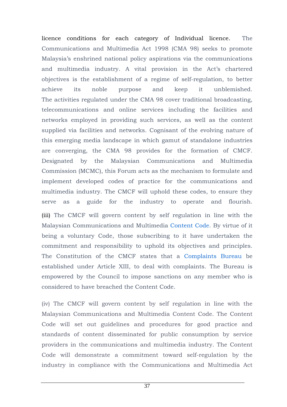licence conditions for each category of Individual licence. The Communications and Multimedia Act 1998 (CMA 98) seeks to promote Malaysia's enshrined national policy aspirations via the communications and multimedia industry. A vital provision in the Act's chartered objectives is the establishment of a regime of self-regulation, to better achieve its noble purpose and keep it unblemished. The activities regulated under the CMA 98 cover traditional broadcasting, telecommunications and online services including the facilities and networks employed in providing such services, as well as the content supplied via facilities and networks. Cognisant of the evolving nature of this emerging media landscape in which gamut of standalone industries are converging, the CMA 98 provides for the formation of CMCF. Designated by the Malaysian Communications and Multimedia Commission (MCMC), this Forum acts as the mechanism to formulate and implement developed codes of practice for the communications and multimedia industry. The CMCF will uphold these codes, to ensure they serve as a guide for the industry to operate and flourish.

(iii) The CMCF will govern content by self regulation in line with the Malaysian Communications and Multimedia Content Code. By virtue of it being a voluntary Code, those subscribing to it have undertaken the commitment and responsibility to uphold its objectives and principles. The Constitution of the CMCF states that a Complaints Bureau be established under Article XIII, to deal with complaints. The Bureau is empowered by the Council to impose sanctions on any member who is considered to have breached the Content Code.

(iv) The CMCF will govern content by self regulation in line with the Malaysian Communications and Multimedia Content Code. The Content Code will set out guidelines and procedures for good practice and standards of content disseminated for public consumption by service providers in the communications and multimedia industry. The Content Code will demonstrate a commitment toward self-regulation by the industry in compliance with the Communications and Multimedia Act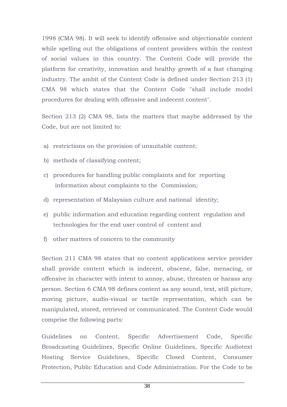1998 (CMA 98). It will seek to identify offensive and objectionable content while spelling out the obligations of content providers within the context of social values in this country. The Content Code will provide the platform for creativity, innovation and healthy growth of a fast changing industry. The ambit of the Content Code is defined under Section 213 (1) CMA 98 which states that the Content Code "shall include model procedures for dealing with offensive and indecent content".

Section 213 (2) CMA 98, lists the matters that maybe addressed by the Code, but are not limited to:

- a) restrictions on the provision of unsuitable content;
- b) methods of classifying content;
- c) procedures for handling public complaints and for reporting information about complaints to the Commission;
- d) representation of Malaysian culture and national identity;
- e) public information and education regarding content regulation and technologies for the end user control of content and
- f) other matters of concern to the community

Section 211 CMA 98 states that no content applications service provider shall provide content which is indecent, obscene, false, menacing, or offensive in character with intent to annoy, abuse, threaten or harass any person. Section 6 CMA 98 defines content as any sound, text, still picture, moving picture, audio-visual or tactile representation, which can be manipulated, stored, retrieved or communicated. The Content Code would comprise the following parts:

Guidelines on Content, Specific Advertisement Code, Specific Broadcasting Guidelines, Specific Online Guidelines, Specific Audiotext Hosting Service Guidelines, Specific Closed Content, Consumer Protection, Public Education and Code Administration. For the Code to be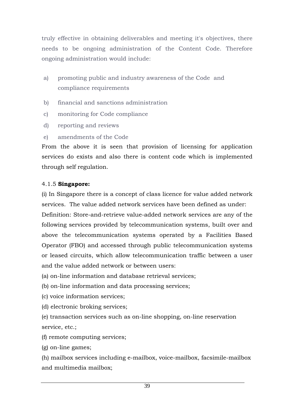truly effective in obtaining deliverables and meeting it's objectives, there needs to be ongoing administration of the Content Code. Therefore ongoing administration would include:

- a) promoting public and industry awareness of the Code and compliance requirements
- b) financial and sanctions administration
- c) monitoring for Code compliance
- d) reporting and reviews
- e) amendments of the Code

From the above it is seen that provision of licensing for application services do exists and also there is content code which is implemented through self regulation.

## 4.1.5 **Singapore:**

(i) In Singapore there is a concept of class licence for value added network services. The value added network services have been defined as under:

Definition: Store-and-retrieve value-added network services are any of the following services provided by telecommunication systems, built over and above the telecommunication systems operated by a Facilities Based Operator (FBO) and accessed through public telecommunication systems or leased circuits, which allow telecommunication traffic between a user and the value added network or between users:

(a) on-line information and database retrieval services;

(b) on-line information and data processing services;

- (c) voice information services;
- (d) electronic broking services;

(e) transaction services such as on-line shopping, on-line reservation service, etc.;

(f) remote computing services;

(g) on-line games;

(h) mailbox services including e-mailbox, voice-mailbox, facsimile-mailbox and multimedia mailbox;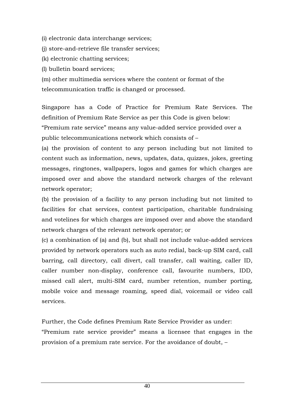(i) electronic data interchange services;

(j) store-and-retrieve file transfer services;

(k) electronic chatting services;

(l) bulletin board services;

(m) other multimedia services where the content or format of the telecommunication traffic is changed or processed.

Singapore has a Code of Practice for Premium Rate Services. The definition of Premium Rate Service as per this Code is given below:

"Premium rate service" means any value-added service provided over a public telecommunications network which consists of –

(a) the provision of content to any person including but not limited to content such as information, news, updates, data, quizzes, jokes, greeting messages, ringtones, wallpapers, logos and games for which charges are imposed over and above the standard network charges of the relevant network operator;

(b) the provision of a facility to any person including but not limited to facilities for chat services, contest participation, charitable fundraising and votelines for which charges are imposed over and above the standard network charges of the relevant network operator; or

(c) a combination of (a) and (b), but shall not include value-added services provided by network operators such as auto redial, back-up SIM card, call barring, call directory, call divert, call transfer, call waiting, caller ID, caller number non-display, conference call, favourite numbers, IDD, missed call alert, multi-SIM card, number retention, number porting, mobile voice and message roaming, speed dial, voicemail or video call services.

Further, the Code defines Premium Rate Service Provider as under: "Premium rate service provider" means a licensee that engages in the provision of a premium rate service. For the avoidance of doubt, –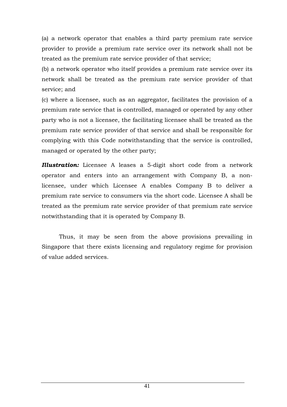(a) a network operator that enables a third party premium rate service provider to provide a premium rate service over its network shall not be treated as the premium rate service provider of that service;

(b) a network operator who itself provides a premium rate service over its network shall be treated as the premium rate service provider of that service; and

(c) where a licensee, such as an aggregator, facilitates the provision of a premium rate service that is controlled, managed or operated by any other party who is not a licensee, the facilitating licensee shall be treated as the premium rate service provider of that service and shall be responsible for complying with this Code notwithstanding that the service is controlled, managed or operated by the other party;

*Illustration:* Licensee A leases a 5-digit short code from a network operator and enters into an arrangement with Company B, a nonlicensee, under which Licensee A enables Company B to deliver a premium rate service to consumers via the short code. Licensee A shall be treated as the premium rate service provider of that premium rate service notwithstanding that it is operated by Company B.

Thus, it may be seen from the above provisions prevailing in Singapore that there exists licensing and regulatory regime for provision of value added services.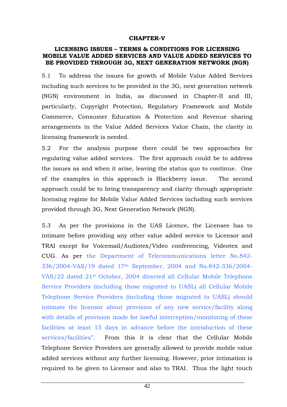#### **CHAPTER-V**

#### **LICENSING ISSUES – TERMS & CONDITIONS FOR LICENSING MOBILE VALUE ADDED SERVICES AND VALUE ADDED SERVICES TO BE PROVIDED THROUGH 3G, NEXT GENERATION NETWORK (NGN)**

5.1 To address the issues for growth of Mobile Value Added Services including such services to be provided in the 3G, next generation network (NGN) environment in India, as discussed in Chapter-II and III, particularly, Copyright Protection, Regulatory Framework and Mobile Commerce, Consumer Education & Protection and Revenue sharing arrangements in the Value Added Services Value Chain, the clarity in licensing framework is needed.

5.2 For the analysis purpose there could be two approaches for regulating value added services. The first approach could be to address the issues as and when it arise, leaving the status quo to continue. One of the examples in this approach is Blackberry issue. The second approach could be to bring transparency and clarity through appropriate licensing regime for Mobile Value Added Services including such services provided through 3G, Next Generation Network (NGN).

5.3 As per the provisions in the UAS Licence, the Licensee has to intimate before providing any other value added service to Licensor and TRAI except for Voicemail/Audiotex/Video conferencing, Videotex and CUG. As per the Department of Telecommunications letter No.842- 336/2004-VAS/19 dated 17th September, 2004 and No.842-336/2004- VAS/22 dated 21st October, 2004 directed all Cellular Mobile Telephone Service Providers (including those migrated to UASL) all Cellular Mobile Telephone Service Providers (including those migrated to UASL) should intimate the licensor about provision of any new service/facility along with details of provision made for lawful interception/monitoring of these facilities at least 15 days in advance before the introduction of these services/facilities". From this it is clear that the Cellular Mobile Telephone Service Providers are generally allowed to provide mobile value added services without any further licensing. However, prior intimation is required to be given to Licensor and also to TRAI. Thus the light touch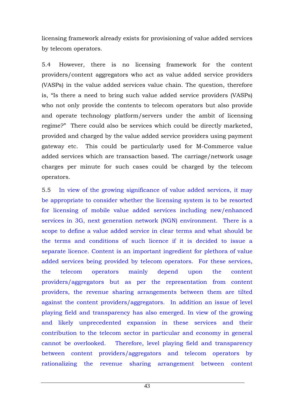licensing framework already exists for provisioning of value added services by telecom operators.

5.4 However, there is no licensing framework for the content providers/content aggregators who act as value added service providers (VASPs) in the value added services value chain. The question, therefore is, "Is there a need to bring such value added service providers (VASPs) who not only provide the contents to telecom operators but also provide and operate technology platform/servers under the ambit of licensing regime?" There could also be services which could be directly marketed, provided and charged by the value added service providers using payment gateway etc. This could be particularly used for M-Commerce value added services which are transaction based. The carriage/network usage charges per minute for such cases could be charged by the telecom operators.

5.5 In view of the growing significance of value added services, it may be appropriate to consider whether the licensing system is to be resorted for licensing of mobile value added services including new/enhanced services in 3G, next generation network (NGN) environment. There is a scope to define a value added service in clear terms and what should be the terms and conditions of such licence if it is decided to issue a separate licence. Content is an important ingredient for plethora of value added services being provided by telecom operators. For these services, the telecom operators mainly depend upon the content providers/aggregators but as per the representation from content providers, the revenue sharing arrangements between them are tilted against the content providers/aggregators. In addition an issue of level playing field and transparency has also emerged. In view of the growing and likely unprecedented expansion in these services and their contribution to the telecom sector in particular and economy in general cannot be overlooked. Therefore, level playing field and transparency between content providers/aggregators and telecom operators by rationalizing the revenue sharing arrangement between content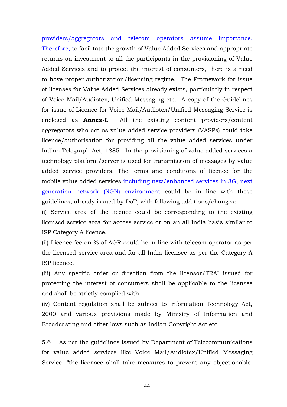providers/aggregators and telecom operators assume importance. Therefore, to facilitate the growth of Value Added Services and appropriate returns on investment to all the participants in the provisioning of Value Added Services and to protect the interest of consumers, there is a need to have proper authorization/licensing regime. The Framework for issue of licenses for Value Added Services already exists, particularly in respect of Voice Mail/Audiotex, Unified Messaging etc. A copy of the Guidelines for issue of Licence for Voice Mail/Audiotex/Unified Messaging Service is enclosed as **Annex-I.** All the existing content providers/content aggregators who act as value added service providers (VASPs) could take licence/authorisation for providing all the value added services under Indian Telegraph Act, 1885. In the provisioning of value added services a technology platform/server is used for transmission of messages by value added service providers. The terms and conditions of licence for the mobile value added services including new/enhanced services in 3G, next generation network (NGN) environment could be in line with these guidelines, already issued by DoT, with following additions/changes:

(i) Service area of the licence could be corresponding to the existing licensed service area for access service or on an all India basis similar to ISP Category A licence.

(ii) Licence fee on % of AGR could be in line with telecom operator as per the licensed service area and for all India licensee as per the Category A ISP licence.

(iii) Any specific order or direction from the licensor/TRAI issued for protecting the interest of consumers shall be applicable to the licensee and shall be strictly complied with.

(iv) Content regulation shall be subject to Information Technology Act, 2000 and various provisions made by Ministry of Information and Broadcasting and other laws such as Indian Copyright Act etc.

5.6 As per the guidelines issued by Department of Telecommunications for value added services like Voice Mail/Audiotex/Unified Messaging Service, "the licensee shall take measures to prevent any objectionable,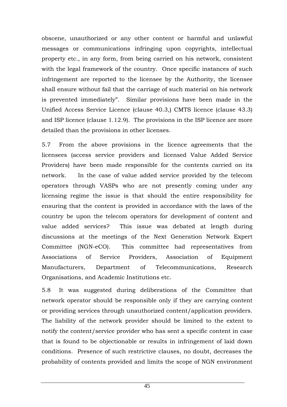obscene, unauthorized or any other content or harmful and unlawful messages or communications infringing upon copyrights, intellectual property etc., in any form, from being carried on his network, consistent with the legal framework of the country. Once specific instances of such infringement are reported to the licensee by the Authority, the licensee shall ensure without fail that the carriage of such material on his network is prevented immediately". Similar provisions have been made in the Unified Access Service Licence (clause 40.3,) CMTS licence (clause 43.3) and ISP licence (clause 1.12.9). The provisions in the ISP licence are more detailed than the provisions in other licenses.

5.7 From the above provisions in the licence agreements that the licensees (access service providers and licensed Value Added Service Providers) have been made responsible for the contents carried on its network. In the case of value added service provided by the telecom operators through VASPs who are not presently coming under any licensing regime the issue is that should the entire responsibility for ensuring that the content is provided in accordance with the laws of the country be upon the telecom operators for development of content and value added services? This issue was debated at length during discussions at the meetings of the Next Generation Network Expert Committee (NGN-eCO). This committee had representatives from Associations of Service Providers, Association of Equipment Manufacturers, Department of Telecommunications, Research Organisations, and Academic Institutions etc.

5.8 It was suggested during deliberations of the Committee that network operator should be responsible only if they are carrying content or providing services through unauthorized content/application providers. The liability of the network provider should be limited to the extent to notify the content/service provider who has sent a specific content in case that is found to be objectionable or results in infringement of laid down conditions. Presence of such restrictive clauses, no doubt, decreases the probability of contents provided and limits the scope of NGN environment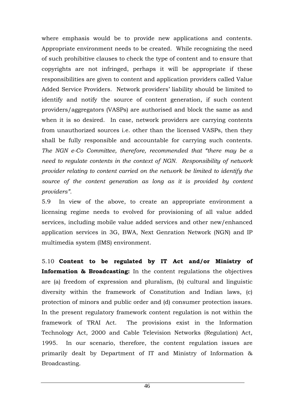where emphasis would be to provide new applications and contents. Appropriate environment needs to be created. While recognizing the need of such prohibitive clauses to check the type of content and to ensure that copyrights are not infringed, perhaps it will be appropriate if these responsibilities are given to content and application providers called Value Added Service Providers. Network providers' liability should be limited to identify and notify the source of content generation, if such content providers/aggregators (VASPs) are authorised and block the same as and when it is so desired. In case, network providers are carrying contents from unauthorized sources i.e. other than the licensed VASPs, then they shall be fully responsible and accountable for carrying such contents. *The NGN e-Co Committee, therefore, recommended that "there may be a need to regulate contents in the context of NGN. Responsibility of network provider relating to content carried on the network be limited to identify the source of the content generation as long as it is provided by content providers".* 

5.9 In view of the above, to create an appropriate environment a licensing regime needs to evolved for provisioning of all value added services, including mobile value added services and other new/enhanced application services in 3G, BWA, Next Genration Network (NGN) and IP multimedia system (IMS) environment.

5.10 **Content to be regulated by IT Act and/or Ministry of Information & Broadcasting:** In the content regulations the objectives are (a) freedom of expression and pluralism, (b) cultural and linguistic diversity within the framework of Constitution and Indian laws, (c) protection of minors and public order and (d) consumer protection issues. In the present regulatory framework content regulation is not within the framework of TRAI Act. The provisions exist in the Information Technology Act, 2000 and Cable Television Networks (Regulation) Act, 1995. In our scenario, therefore, the content regulation issues are primarily dealt by Department of IT and Ministry of Information & Broadcasting.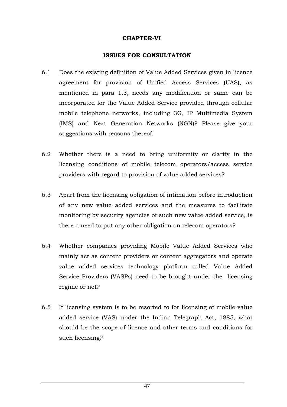#### **CHAPTER-VI**

#### **ISSUES FOR CONSULTATION**

- 6.1 Does the existing definition of Value Added Services given in licence agreement for provision of Unified Access Services (UAS), as mentioned in para 1.3, needs any modification or same can be incorporated for the Value Added Service provided through cellular mobile telephone networks, including 3G, IP Multimedia System (IMS) and Next Generation Networks (NGN)? Please give your suggestions with reasons thereof.
- 6.2 Whether there is a need to bring uniformity or clarity in the licensing conditions of mobile telecom operators/access service providers with regard to provision of value added services?
- 6.3 Apart from the licensing obligation of intimation before introduction of any new value added services and the measures to facilitate monitoring by security agencies of such new value added service, is there a need to put any other obligation on telecom operators?
- 6.4 Whether companies providing Mobile Value Added Services who mainly act as content providers or content aggregators and operate value added services technology platform called Value Added Service Providers (VASPs) need to be brought under the licensing regime or not?
- 6.5 If licensing system is to be resorted to for licensing of mobile value added service (VAS) under the Indian Telegraph Act, 1885, what should be the scope of licence and other terms and conditions for such licensing?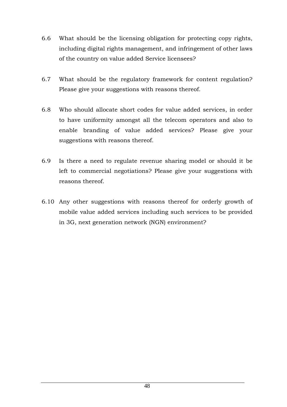- 6.6 What should be the licensing obligation for protecting copy rights, including digital rights management, and infringement of other laws of the country on value added Service licensees?
- 6.7 What should be the regulatory framework for content regulation? Please give your suggestions with reasons thereof.
- 6.8 Who should allocate short codes for value added services, in order to have uniformity amongst all the telecom operators and also to enable branding of value added services? Please give your suggestions with reasons thereof.
- 6.9 Is there a need to regulate revenue sharing model or should it be left to commercial negotiations? Please give your suggestions with reasons thereof.
- 6.10 Any other suggestions with reasons thereof for orderly growth of mobile value added services including such services to be provided in 3G, next generation network (NGN) environment?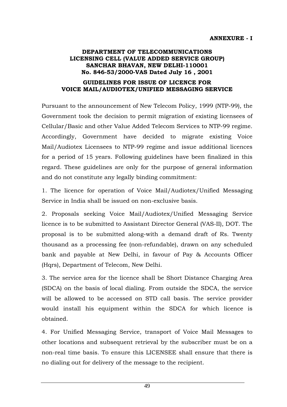#### **DEPARTMENT OF TELECOMMUNICATIONS LICENSING CELL (VALUE ADDED SERVICE GROUP) SANCHAR BHAVAN, NEW DELHI-110001 No. 846-53/2000-VAS Dated July 16 , 2001**

#### **GUIDELINES FOR ISSUE OF LICENCE FOR VOICE MAIL/AUDIOTEX/UNIFIED MESSAGING SERVICE**

Pursuant to the announcement of New Telecom Policy, 1999 (NTP-99), the Government took the decision to permit migration of existing licensees of Cellular/Basic and other Value Added Telecom Services to NTP-99 regime. Accordingly, Government have decided to migrate existing Voice Mail/Audiotex Licensees to NTP-99 regime and issue additional licences for a period of 15 years. Following guidelines have been finalized in this regard. These guidelines are only for the purpose of general information and do not constitute any legally binding commitment:

1. The licence for operation of Voice Mail/Audiotex/Unified Messaging Service in India shall be issued on non-exclusive basis.

2. Proposals seeking Voice Mail/Audiotex/Unified Messaging Service licence is to be submitted to Assistant Director General (VAS-II), DOT. The proposal is to be submitted along-with a demand draft of Rs. Twenty thousand as a processing fee (non-refundable), drawn on any scheduled bank and payable at New Delhi, in favour of Pay & Accounts Officer (Hqrs), Department of Telecom, New Delhi.

3. The service area for the licence shall be Short Distance Charging Area (SDCA) on the basis of local dialing. From outside the SDCA, the service will be allowed to be accessed on STD call basis. The service provider would install his equipment within the SDCA for which licence is obtained.

4. For Unified Messaging Service, transport of Voice Mail Messages to other locations and subsequent retrieval by the subscriber must be on a non-real time basis. To ensure this LICENSEE shall ensure that there is no dialing out for delivery of the message to the recipient.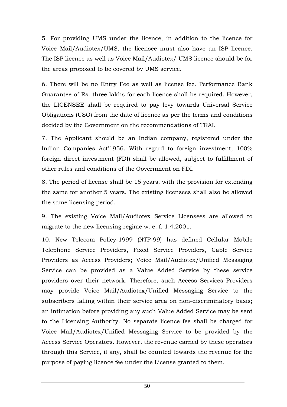5. For providing UMS under the licence, in addition to the licence for Voice Mail/Audiotex/UMS, the licensee must also have an ISP licence. The ISP licence as well as Voice Mail/Audiotex/ UMS licence should be for the areas proposed to be covered by UMS service.

6. There will be no Entry Fee as well as license fee. Performance Bank Guarantee of Rs. three lakhs for each licence shall be required. However, the LICENSEE shall be required to pay levy towards Universal Service Obligations (USO) from the date of licence as per the terms and conditions decided by the Government on the recommendations of TRAI.

7. The Applicant should be an Indian company, registered under the Indian Companies Act'1956. With regard to foreign investment, 100% foreign direct investment (FDI) shall be allowed, subject to fulfillment of other rules and conditions of the Government on FDI.

8. The period of license shall be 15 years, with the provision for extending the same for another 5 years. The existing licensees shall also be allowed the same licensing period.

9. The existing Voice Mail/Audiotex Service Licensees are allowed to migrate to the new licensing regime w. e. f. 1.4.2001.

10. New Telecom Policy-1999 (NTP-99) has defined Cellular Mobile Telephone Service Providers, Fixed Service Providers, Cable Service Providers as Access Providers; Voice Mail/Audiotex/Unified Messaging Service can be provided as a Value Added Service by these service providers over their network. Therefore, such Access Services Providers may provide Voice Mail/Audiotex/Unified Messaging Service to the subscribers falling within their service area on non-discriminatory basis; an intimation before providing any such Value Added Service may be sent to the Licensing Authority. No separate licence fee shall be charged for Voice Mail/Audiotex/Unified Messaging Service to be provided by the Access Service Operators. However, the revenue earned by these operators through this Service, if any, shall be counted towards the revenue for the purpose of paying licence fee under the License granted to them.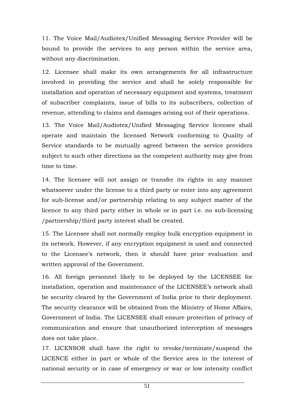11. The Voice Mail/Audiotex/Unified Messaging Service Provider will be bound to provide the services to any person within the service area, without any discrimination.

12. Licensee shall make its own arrangements for all infrastructure involved in providing the service and shall be solely responsible for installation and operation of necessary equipment and systems, treatment of subscriber complaints, issue of bills to its subscribers, collection of revenue, attending to claims and damages arising out of their operations.

13. The Voice Mail/Audiotex/Unified Messaging Service licensee shall operate and maintain the licensed Network conforming to Quality of Service standards to be mutually agreed between the service providers subject to such other directions as the competent authority may give from time to time.

14. The licensee will not assign or transfer its rights in any manner whatsoever under the license to a third party or enter into any agreement for sub-license and/or partnership relating to any subject matter of the licence to any third party either in whole or in part i.e. no sub-licensing /partnership/third party interest shall be created.

15. The Licensee shall not normally employ bulk encryption equipment in its network. However, if any encryption equipment is used and connected to the Licensee's network, then it should have prior evaluation and written approval of the Government.

16. All foreign personnel likely to be deployed by the LICENSEE for installation, operation and maintenance of the LICENSEE's network shall be security cleared by the Government of India prior to their deployment. The security clearance will be obtained from the Ministry of Home Affairs, Government of India. The LICENSEE shall ensure protection of privacy of communication and ensure that unauthorized interception of messages does not take place.

17. LICENSOR shall have the right to revoke/terminate/suspend the LICENCE either in part or whole of the Service area in the interest of national security or in case of emergency or war or low intensity conflict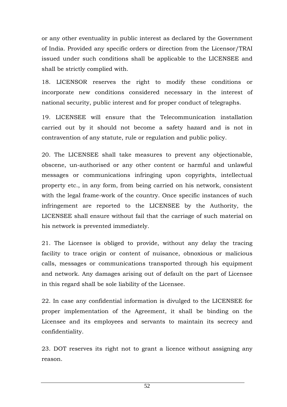or any other eventuality in public interest as declared by the Government of India. Provided any specific orders or direction from the Licensor/TRAI issued under such conditions shall be applicable to the LICENSEE and shall be strictly complied with.

18. LICENSOR reserves the right to modify these conditions or incorporate new conditions considered necessary in the interest of national security, public interest and for proper conduct of telegraphs.

19. LICENSEE will ensure that the Telecommunication installation carried out by it should not become a safety hazard and is not in contravention of any statute, rule or regulation and public policy.

20. The LICENSEE shall take measures to prevent any objectionable, obscene, un-authorised or any other content or harmful and unlawful messages or communications infringing upon copyrights, intellectual property etc., in any form, from being carried on his network, consistent with the legal frame-work of the country. Once specific instances of such infringement are reported to the LICENSEE by the Authority, the LICENSEE shall ensure without fail that the carriage of such material on his network is prevented immediately.

21. The Licensee is obliged to provide, without any delay the tracing facility to trace origin or content of nuisance, obnoxious or malicious calls, messages or communications transported through his equipment and network. Any damages arising out of default on the part of Licensee in this regard shall be sole liability of the Licensee.

22. In case any confidential information is divulged to the LICENSEE for proper implementation of the Agreement, it shall be binding on the Licensee and its employees and servants to maintain its secrecy and confidentiality.

23. DOT reserves its right not to grant a licence without assigning any reason.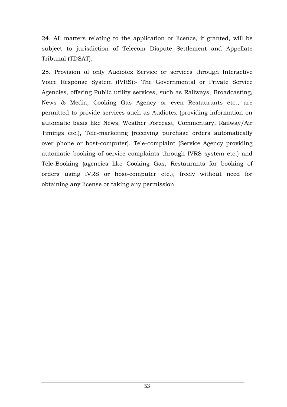24. All matters relating to the application or licence, if granted, will be subject to jurisdiction of Telecom Dispute Settlement and Appellate Tribunal (TDSAT).

25. Provision of only Audiotex Service or services through Interactive Voice Response System (IVRS):- The Governmental or Private Service Agencies, offering Public utility services, such as Railways, Broadcasting, News & Media, Cooking Gas Agency or even Restaurants etc., are permitted to provide services such as Audiotex (providing information on automatic basis like News, Weather Forecast, Commentary, Railway/Air Timings etc.), Tele-marketing (receiving purchase orders automatically over phone or host-computer), Tele-complaint (Service Agency providing automatic booking of service complaints through IVRS system etc.) and Tele-Booking (agencies like Cooking Gas, Restaurants for booking of orders using IVRS or host-computer etc.), freely without need for obtaining any license or taking any permission.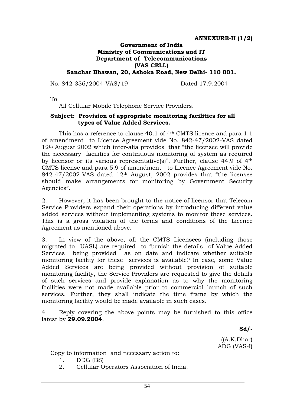#### **Government of India Ministry of Communications and IT Department of Telecommunications (VAS CELL) Sanchar Bhawan, 20, Ashoka Road, New Delhi- 110 001.**

No. 842-336/2004-VAS/19 Dated 17.9.2004

To

All Cellular Mobile Telephone Service Providers.

#### **Subject: Provision of appropriate monitoring facilities for all types of Value Added Services.**

This has a reference to clause 40.1 of 4th CMTS licence and para 1.1 of amendment to Licence Agreement vide No. 842-47/2002-VAS dated 12th August 2002 which inter-alia provides that "the licensee will provide the necessary facilities for continuous monitoring of system as required by licensor or its various representative(s)". Further, clause 44.9 of 4th CMTS license and para 5.9 of amendment to Licence Agreement vide No. 842-47/2002-VAS dated 12th August, 2002 provides that "the licensee should make arrangements for monitoring by Government Security Agencies".

2. However, it has been brought to the notice of licensor that Telecom Service Providers expand their operations by introducing different value added services without implementing systems to monitor these services. This is a gross violation of the terms and conditions of the Licence Agreement as mentioned above.

3. In view of the above, all the CMTS Licensees (including those migrated to UASL) are required to furnish the details of Value Added Services being provided as on date and indicate whether suitable monitoring facility for these services is available? In case, some Value Added Services are being provided without provision of suitable monitoring facility, the Service Providers are requested to give the details of such services and provide explanation as to why the monitoring facilities were not made available prior to commercial launch of such services. Further, they shall indicate the time frame by which the monitoring facility would be made available in such cases.

4. Reply covering the above points may be furnished to this office latest by **29.09.2004**.

**Sd/-** 

 $((A.K.Dhar)$ ADG (VAS-I)

Copy to information and necessary action to:

- 1. DDG (BS)
- 2. Cellular Operators Association of India.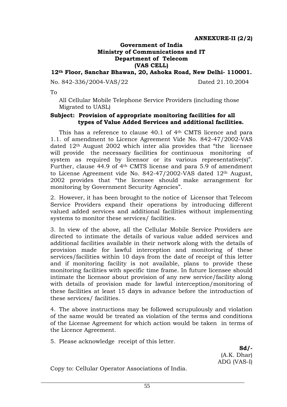## **Government of India Ministry of Communications and IT Department of Telecom (VAS CELL)**

**12th Floor, Sanchar Bhawan, 20, Ashoka Road, New Delhi- 110001.** 

No. 842-336/2004-VAS/22 Dated 21.10.2004

To

All Cellular Mobile Telephone Service Providers (including those Migrated to UASL)

#### **Subject: Provision of appropriate monitoring facilities for all types of Value Added Services and additional facilities.**

This has a reference to clause 40.1 of 4th CMTS licence and para 1.1. of amendment to Licence Agreement Vide No. 842-47/2002-VAS dated 12th August 2002 which inter alia provides that "the licensee will provide the necessary facilities for continuous monitoring of system as required by licensor or its various representative(s)". Further, clause 44.9 of 4th CMTS license and para 5.9 of amendment to License Agreement vide No. 842-47/2002-VAS dated 12th August, 2002 provides that "the licensee should make arrangement for monitoring by Government Security Agencies".

2. However, it has been brought to the notice of Licensor that Telecom Service Providers expand their operations by introducing different valued added services and additional facilities without implementing systems to monitor these services/ facilities.

3. In view of the above, all the Cellular Mobile Service Providers are directed to intimate the details of various value added services and additional facilities available in their network along with the details of provision made for lawful interception and monitoring of these services/facilities within 10 days from the date of receipt of this letter and if monitoring facility is not available, plans to provide these monitoring facilities with specific time frame. In future licensee should intimate the licensor about provision of any new service/facility along with details of provision made for lawful interception/monitoring of these facilities at least 15 days in advance before the introduction of these services/ facilities.

4. The above instructions may be followed scrupulously and violation of the same would be treated as violation of the terms and conditions of the License Agreement for which action would be taken in terms of the Licence Agreement.

5. Please acknowledge receipt of this letter.

**Sd/-** (A.K. Dhar) ADG (VAS-I)

Copy to: Cellular Operator Associations of India.